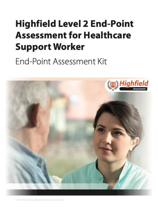# **Highfield Level 2 End-Point Assessment for Healthcare Support Worker**

End-Point Assessment Kit



# 2019 Highlied Awarding Body for Compliance Limited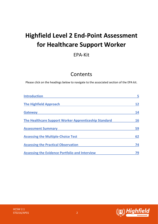## **Highfield Level 2 End-Point Assessment for Healthcare Support Worker**

## EPA-Kit

## Contents

Please click on the headings below to navigate to the associated section of the EPA kit.

| <b>Introduction</b>                                   | 5  |
|-------------------------------------------------------|----|
| <b>The Highfield Approach</b>                         | 12 |
| <b>Gateway</b>                                        | 14 |
| The Healthcare Support Worker Apprenticeship Standard | 16 |
| <b>Assessment Summary</b>                             | 59 |
| <b>Assessing the Multiple-Choice Test</b>             | 62 |
| <b>Assessing the Practical Observation</b>            | 74 |
| <b>Assessing the Evidence Portfolio and Interview</b> | 79 |

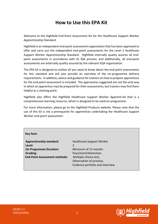## **How to Use this EPA Kit**

Welcome to the Highfield End-Point Assessment Kit for the Healthcare Support Worker Apprenticeship Standard.

Highfield is an independent end-point assessment organisation that has been approved to offer and carry out the independent end-point assessments for the Level 2 Healthcare Support Worker Apprenticeship Standard. Highfield internally quality assures all endpoint assessments in accordance with its IQA process, and additionally, all end-point assessments are externally quality assured by the relevant EQA organisation.

The EPA kit is designed to outline all you need to know about the end-point assessments for this standard and will also provide an overview of the on-programme delivery requirements. In addition**,** advice and guidance for trainers on how to prepare apprentices for the end-point assessment is included. The approaches suggested are not the only way in which an apprentice may be prepared for their assessments, but trainers may find them helpful as a starting point.

Highfield also offers the Highfield Healthcare Support Worker Apprenti-kit that is a comprehensive learning resource, which is designed to be used on-programme.

For more information, please go to the Highfield Products website. Please note that the use of this kit is not a prerequisite for apprentices undertaking the Healthcare Support Worker end-point assessment.

## **Key facts**

**Apprenticeship standard:** Healthcare Support Worker **Level:** 2 **On Programme Duration:** Minimum of 12 months **Grading:** Pass/merit/distinction **End-Point Assessment methods:** Multiple-choice test,

Observation of practice, Evidence portfolio and interview

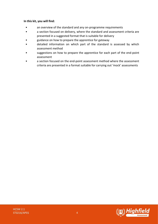## **In this kit, you will find:**

- an overview of the standard and any on-programme requirements
- a section focused on delivery, where the standard and assessment criteria are presented in a suggested format that is suitable for delivery
- guidance on how to prepare the apprentice for gateway
- detailed information on which part of the standard is assessed by which assessment method
- suggestions on how to prepare the apprentice for each part of the end-point assessment
- a section focused on the end-point assessment method where the assessment criteria are presented in a format suitable for carrying out 'mock' assessments

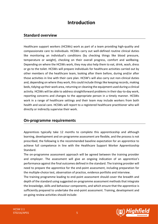## **Introduction**

## <span id="page-4-0"></span>**Standard overview**

Healthcare support workers (HCSWs) work as part of a team providing high-quality and compassionate care to individuals. HCSWs carry out well-defined routine clinical duties like monitoring an individual's conditions (by checking things like blood pressure, temperature or weight), checking on their overall progress, comfort and wellbeing. Depending on where the HCSWs work, they may also help them to eat, drink, wash, dress or go to the toilet. HCSWs will prepare individuals for healthcare activities carried out by other members of the healthcare team, looking after them before, during and/or after those activities in line with their care plan. HCSW's will also carry out non-clinical duties and, depending on where they work, this could include things like keeping records, making beds, tidying up their work area, returning or cleaning the equipment used during a clinical activity. HCSWs will be able to address straightforward problems in their day-to-day work, reporting concerns and changes to the appropriate person in a timely manner. HCSWs work in a range of healthcare settings and their team may include workers from both health and social care. HCSWs will report to a registered healthcare practitioner who will directly or indirectly supervise their work.

## **On-programme requirements**

Apprentices typically take 12 months to complete this apprenticeship and although learning, development and on-programme assessment are flexible, and the process is not prescribed, the following is the recommended baseline expectation for an apprentice to achieve full competence in line with the Healthcare Support Worker Apprenticeship Standard.

The on-programme assessment approach will be agreed between the training provider and employer. The assessment will give an ongoing indication of an apprentice's performance against the final outcomes defined in the standard. The training provider will need to prepare the apprentice for the end-point assessment, including preparation for the multiple-choice test, observation of practice, evidence portfolio and interview.

The training programme leading to end-point assessment should cover the breadth and depth of the standard using suggested on-programme assessment methods that integrate the knowledge, skills and behaviour components, and which ensure that the apprentice is sufficiently prepared to undertake the end-point assessment. Training, development and on-going review activities should include:

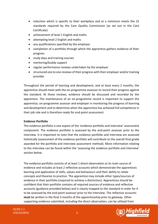- induction which is specific to their workplace and at a minimum meets the 15 standards required by the Care Quality Commission (as set out in the Care Certificate)
- achievement of level 1 English and maths
- attempting level 2 English and maths
- any qualifications specified by the employer
- completion of a portfolio through which the apprentice gathers evidence of their progress
- study days and training courses
- mentoring/buddy support
- regular performance reviews undertaken by the employer
- structured one to one reviews of their progress with their employer and/or training provider

Throughout the period of learning and development, and at least every 2 months, the apprentice should meet with the on-programme assessor to record their progress against the standard. At these reviews, evidence should be discussed and recorded by the apprentice. The maintenance of an on-programme record is important to support the apprentice, on-programme assessor and employer in monitoring the progress of learning and development and to determine when the apprentice has achieved full competence in their job role and is therefore ready for end-point assessment.

## **Evidence Portfolio**

The evidence portfolio is one aspect of the 'evidence portfolio and interview' assessment component. The evidence portfolio is assessed by the end-point assessor prior to the interview. It is important to note that the evidence portfolio and interview are assessed holistically (assessment of the evidence portfolio will contribute to the overall final grade awarded for the portfolio and interview assessment method). More information relating to the interview can be found within the 'assessing the evidence portfolio and interview' section below.

The evidence portfolio consists of at least 1 direct observation as its main source of evidence and includes at least 2 reflective accounts which demonstrate the apprentices learning and application of skills, values and behaviours and their ability to relate concepts and theories to practice. The apprentice may include other types/sources of evidence in their portfolio (required to achieve a distinction). Apprentices should be confident that their portfolio contains all required sources of evidence and reflective accounts (guidance provided below) and is clearly mapped to the standard in order for it to be assessed by the end-point assessor prior to the interview. The reflective accounts **must** be written in the final 3 months of the apprenticeship prior to gateway. Other supporting evidence submitted, including the direct observation, can be utilised from



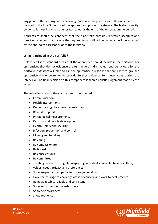any point of the on-programme learning. Both form the portfolio and this must be collated in the final 3 months of the apprenticeship prior to gateway. The highest-quality evidence is most likely to be generated towards the end of the on-programme period.

Apprentices should be confident that their portfolio contains reflective accounts and direct observation that include the requirements outlined below which will be assessed by the end-point assessor prior to the interview.

## **What is included in the portfolio?**

Below is a list of standard areas that the apprentice should include in the portfolio. For apprentices that do not evidence the full range of skills, values and behaviours for the portfolio, assessors will plan to ask the apprentice questions that are likely to give the apprentice the opportunity to provide further evidence for these areas during the interview. The final decision on this component is then a holistic judgement made by the assessor.

The following areas of the standard must be covered:

- Communication
- Health interventions
- Dementia, cognitive issues, mental health
- Basic life support
- Physiological measurements
- Personal and people development
- Health, safety and security
- Infection, prevention and control
- Moving and handling
- Be caring
- Be compassionate
- Be honest
- Be conscientious
- Be committed
- Treating people with dignity, respecting individual's diversity, beliefs, culture, values, needs, privacy and preferences
- Show respect and empathy for those you work with
- Have the courage to challenge areas of concern and work to best practice
- Being adaptable, reliable and consistent
- Showing discretion towards others
- Show self-awareness
- Show resilience



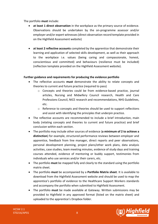The portfolio **must** include:

- **at least 1 direct observation** in the workplace as the primary source of evidence. Observations should be undertaken by the on-programme assessor and/or employer and/or expert witnesses (direct observation record template provided in on the Highfield Assessment website)
- **at least 2 reflective accounts** completed by the apprentice that demonstrate their learning and application of selected skills development, as well as their approach to the workplace i.e. values (being caring and compassionate, honest, conscientious and committed) and behaviours (resilience must be included) (reflection template provided on the Highfield Assessment website).

## **Further guidance and requirements for producing the evidence portfolio**

- The reflective accounts **must** demonstrate the ability to relate concepts and theories to current and future practice (required to pass)
	- $\circ$  Concepts and theories could be from evidence-based practice, journal articles, Nursing and Midwifery Council research, Health and Care Professions Council, NICE research and recommendations, NHS Guidelines, etc.
	- $\circ$  Reference to concepts and theories should be used to support reflections and assist with identifying the principles that underpin practice.
- The reflective accounts are recommended to include a brief introduction, main body (relating concepts and theories to current and future practice) and brief conclusion within each section.
- The portfolio may include other sources of evidence (**a minimum of 2 to achieve a distinction**) for example, structured performance reviews between employer and apprentice, feedback from line manager, direct reports and peer observations, personal development planning, project plans/other work plans, data analysis activities, case studies, team meeting minutes, evidence of study days and training courses attended, evidence of mentoring or buddy support, testimonies from individuals who use services and/or their carers, etc.
- The portfolio **must** be mapped fully and clearly to the standard using the portfolio matrix sheet.
- The portfolio **must** be accompanied by a **Portfolio Matrix sheet**. It is available to download from the Highfield Assessment website and should be used to map the apprentice's portfolio of evidence to the Healthcare Support Workers standards and accompany the portfolio when submitted to Highfield Assessment.
- The portfolio **must** be made available at Gateway. Written submissions may be provided to Highfield in any approved format (listed on the matrix sheet) and uploaded to the apprentice's Dropbox folder.

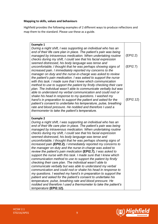## **Mapping to skills, values and behaviours**

Highfield provides the following examples of 2 different ways to produce reflections and map them to the standard. Please use these as a guide.

| <b>Example 1</b><br>During a night shift, I was supporting an individual who has an<br>end of their life care plan in place. The patient's pain was being<br>managed by intravenous medication. When undertaking routine<br>checks during my shift, I could see that his facial expression                                                                                                                                                                                                                                                                                                                                                                                                                                                                                                                                                                                                                                                                                                                                                                                                                                                                                                                                               | (EPI2.2)  |
|------------------------------------------------------------------------------------------------------------------------------------------------------------------------------------------------------------------------------------------------------------------------------------------------------------------------------------------------------------------------------------------------------------------------------------------------------------------------------------------------------------------------------------------------------------------------------------------------------------------------------------------------------------------------------------------------------------------------------------------------------------------------------------------------------------------------------------------------------------------------------------------------------------------------------------------------------------------------------------------------------------------------------------------------------------------------------------------------------------------------------------------------------------------------------------------------------------------------------------------|-----------|
| seemed distressed, his body language was tense and<br>uncomfortable, I thought that he was perhaps showing signs of<br>increased pain. I immediately reported my concerns to the<br>manager on duty and the nurse-in-charge was asked to review<br>the patient's pain medication. I was asked to support the nurse<br>with this task. I made sure that I knew which communication<br>method to use to support the patient by firstly checking their care                                                                                                                                                                                                                                                                                                                                                                                                                                                                                                                                                                                                                                                                                                                                                                                 | (EPI2.7)  |
| plan. The individual wasn't able to communicate verbally but was<br>able to understand my verbal communication and could nod or<br>shake his head in response to my questions. I washed my<br>hand's in preparation to support the patient and asked for the<br>patient's consent to undertake his temperature, pulse, breathing<br>rate and blood pressure. He nodded and therefore I used a<br>thermometer to take the patient's temperature.                                                                                                                                                                                                                                                                                                                                                                                                                                                                                                                                                                                                                                                                                                                                                                                          | (EPI2.12) |
| <b>Example 2</b><br>During a night shift, I was supporting an individual who has an<br>end of their life care plan in place. The patient's pain was being<br>managed by intravenous medication. When undertaking routine<br>checks during my shift, I could see that his facial expression<br>seemed distressed, his body language was tense and<br>uncomfortable, I thought that he was perhaps showing signs of<br>increased pain (EPI2.2). I immediately reported my concerns to<br>the manager on duty and the nurse-in-charge was asked to<br>review the patient's pain medication (EPI2.7). I was asked to<br>support the nurse with this task. I made sure that I knew which<br>communication method to use to support the patient by firstly<br>checking their care plan. The individual wasn't able to<br>communicate verbally but was able to understand my verbal<br>communication and could nod or shake his head in response to<br>my questions. I washed my hand's in preparation to support the<br>patient and asked for the patient's consent to undertake his<br>temperature, pulse, breathing rate and blood pressure. He<br>nodded and therefore I used a thermometer to take the patient's<br>temperature (EPI2.12). |           |

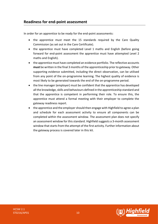## **Readiness for end-point assessment**

In order for an apprentice to be ready for the end-point assessments:

- the apprentice must meet the 15 standards required by the Care Quality Commission (as set out in the Care Certificate).
- the apprentice must have completed Level 1 maths and English (before going forward for end-point assessment the apprentice must have attempted Level 2 maths and English).
- the apprentice must have completed an evidence portfolio. The reflective accounts **must** be written in the final 3 months of the apprenticeship prior to gateway. Other supporting evidence submitted, including the direct observation, can be utilised from any point of the on-programme learning. The highest quality of evidence is most likely to be generated towards the end of the on-programme period.
- the line manager (employer) must be confident that the apprentice has developed all the knowledge, skills and behaviours defined in the apprenticeship standard and that the apprentice is competent in performing their role. To ensure this, the apprentice must attend a formal meeting with their employer to complete the gateway readiness report.
- the apprentice and the employer should then engage with Highfield to agree a plan and schedule for each assessment activity to ensure all components can be completed within the assessment window. The assessment plan does not specify an assessment window for this standard. Highfield suggests a 3-month assessment window that starts from the attempt of the first activity. Further information about the gateway process is covered later in this kit.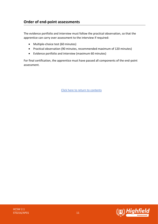## **Order of end-point assessments**

The evidence portfolio and interview must follow the practical observation, so that the apprentice can carry over assessment to the interview if required:

- Multiple-choice test (60 minutes)
- Practical observation (90 minutes, recommended maximum of 120 minutes)
- Evidence portfolio and interview (maximum 60 minutes)

For final certification, the apprentice must have passed all components of the end-point assessment.

[Click here to return to contents](#page-0-0)

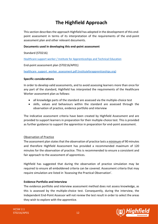## **The Highfield Approach**

<span id="page-11-0"></span>This section describes the approach Highfield has adopted in the development of this endpoint assessment in terms of its interpretation of the requirements of the end-point assessment plan and other relevant documents.

## **Documents used in developing this end-point assessment**

Standard (ST0216)

[Healthcare support worker / Institute for Apprenticeships and Technical Education](https://www.instituteforapprenticeships.org/apprenticeship-standards/healthcare-support-worker-v1-0)

End-point assessment plan (ST0216/AP01)

[healthcare\\_support\\_worker\\_assessment.pdf \(instituteforapprenticeships.org\)](https://www.instituteforapprenticeships.org/media/1385/healthcare_support_worker_assessment.pdf)

## **Specific considerations**

In order to develop valid assessments, and to avoid assessing learners more than once for any part of the standard, Highfield has interpreted the requirements of the Healthcare Worker assessment plan as follows:

- all knowledge parts of the standard are assessed via the multiple-choice test
- skills, values and behaviours within the standard are assessed through the observation of practice, evidence portfolio and interview

The indicative assessment criteria have been created by Highfield Assessment and are provided to support learners in preparation for their multiple-choice test. This is provided as further guidance to support the apprentice in preparation for end-point assessment.

## Observation of Practice

The assessment plan states that the observation of practice lasts a minimum of 90 minutes and therefore Highfield Assessment has provided a recommended maximum of 120 minutes for the observation of practice. This is recommended to ensure a consistent and fair approach to the assessment of apprentices.

Highfield has suggested that during the observation of practice simulation may be required to ensure all emboldened criteria can be covered. Assessment criteria that may require simulation are listed in 'Assessing the Practical Observation'.

## **Evidence Portfolio and Interview**

The evidence portfolio and interview assessment method does not assess knowledge, as this is assessed by the multiple-choice test. Consequently, during the interview, the Independent End-Point Assessor will not review the test result in order to select the areas they wish to explore with the apprentice.

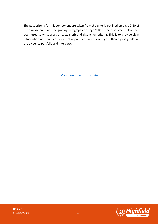The pass criteria for this component are taken from the criteria outlined on page 9-10 of the assessment plan. The grading paragraphs on page 9-10 of the assessment plan have been used to write a set of pass, merit and distinction criteria. This is to provide clear information on what is expected of apprentices to achieve higher than a pass grade for the evidence portfolio and interview.

[Click here to return to contents](#page-0-0)

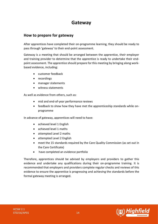## **Gateway**

## <span id="page-13-0"></span>**How to prepare for gateway**

After apprentices have completed their on-programme learning, they should be ready to pass through 'gateway' to their end-point assessment.

Gateway is a meeting that should be arranged between the apprentice, their employer and training provider to determine that the apprentice is ready to undertake their endpoint assessment. The apprentice should prepare for this meeting by bringing along workbased evidence, including:

- customer feedback
- recordings
- manager statements
- witness statements

As well as evidence from others, such as:

- mid and end-of-year performance reviews
- feedback to show how they have met the apprenticeship standards while onprogramme

In advance of gateway, apprentices will need to have:

- achieved level 1 English
- achieved level 1 maths
- attempted Level 2 maths
- attempted Level 2 English
- meet the 15 standards required by the Care Quality Commission (as set out in the Care Certificate)
- have completed an evidence portfolio

Therefore, apprentices should be advised by employers and providers to gather this evidence and undertake any qualifications during their on-programme training. It is recommended that employers and providers complete regular checks and reviews of this evidence to ensure the apprentice is progressing and achieving the standards before the formal gateway meeting is arranged.

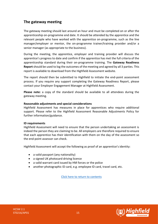## **The gateway meeting**

The gateway meeting should last around an hour and must be completed on or after the apprenticeship on-programme end date. It should be attended by the apprentice and the relevant people who have worked with the apprentice on-programme, such as the line manager/employer or mentor, the on-programme trainer/training provider and/or a senior manager (as appropriate to the business).

During the meeting, the apprentice, employer and training provider will discuss the apprentice's progress to date and confirm if the apprentice has met the full criteria of the apprenticeship standard during their on-programme training. The **Gateway Readiness Report** should be used to log the outcomes of the meeting and agreed by all 3 parties. This report is available to download from the Highfield Assessment website.

The report should then be submitted to Highfield to initiate the end-point assessment process. If you require any support completing the Gateway Readiness Report, please contact your Employer Engagement Manager at Highfield Assessment.

**Please note:** a copy of the standard should be available to all attendees during the gateway meeting.

## **Reasonable adjustments and special considerations**

Highfield Assessment has measures in place for apprentices who require additional support. Please refer to the Highfield Assessment Reasonable Adjustments Policy for further information/guidance.

#### **ID requirements**

Highfield Assessment will need to ensure that the person undertaking an assessment is indeed the person they are claiming to be. All employers are therefore required to ensure that each apprentice has their identification with them on the day of the assessment so the end-point assessor can check.

Highfield Assessment will accept the following as proof of an apprentice's identity:

- a valid passport (any nationality)
- a signed UK photocard driving licence
- a valid warrant card issued by HM forces or the police
- another photographic ID card, e.g. employee ID card, travel card, etc.

[Click here to return to contents](#page-0-0)

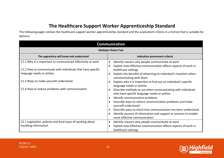## **The Healthcare Support Worker Apprenticeship Standard**

The following pages contain the healthcare support worker apprenticeship standard and the assessment criteria in a format that is suitable for delivery.

<span id="page-15-0"></span>

| <b>Communication</b>                                                                                                                                                                                                                              |                                                                                                                                                                                                                                                                                                                                                                                                                                                                                                                                                                        |
|---------------------------------------------------------------------------------------------------------------------------------------------------------------------------------------------------------------------------------------------------|------------------------------------------------------------------------------------------------------------------------------------------------------------------------------------------------------------------------------------------------------------------------------------------------------------------------------------------------------------------------------------------------------------------------------------------------------------------------------------------------------------------------------------------------------------------------|
| <b>Multiple Choice Test</b>                                                                                                                                                                                                                       |                                                                                                                                                                                                                                                                                                                                                                                                                                                                                                                                                                        |
| The apprentice will know and understand                                                                                                                                                                                                           | Indicative assessment criteria                                                                                                                                                                                                                                                                                                                                                                                                                                                                                                                                         |
| C1.1 Why it is important to communicate effectively at work<br>C1.2 How to communicate with individuals that have specific<br>language needs or wishes<br>C1.3 Ways to make yourself understood<br>C1.4 How to reduce problems with communication | Identify reasons why people communicate at work<br>$\bullet$<br>Explain how effective communication affects aspects of work in<br>$\bullet$<br>healthcare settings<br>Explain the benefits of observing an individual's reactions when<br>$\bullet$<br>communicating with them<br>Explain why it is important to find out an individual's specific<br>$\epsilon$<br>language needs or wishes<br>Describe methods to use when communicating with individuals<br>$\bullet$<br>who have specific language needs or wishes<br>Identify communication problems<br>$\bullet$ |
|                                                                                                                                                                                                                                                   | Describe ways to reduce communication problems and make<br>$\bullet$<br>yourself understood<br>Describe ways to check that communication has been understood<br>$\bullet$<br>Identify sources of information and support or services to enable<br>$\bullet$<br>more effective communication                                                                                                                                                                                                                                                                            |
| C2.1 Legislation, policies and local ways of working about<br>handling information                                                                                                                                                                | Identify reasons why people communicate at work<br>$\bullet$<br>Explain how effective communication affects aspects of work in<br>$\bullet$<br>healthcare settings                                                                                                                                                                                                                                                                                                                                                                                                     |

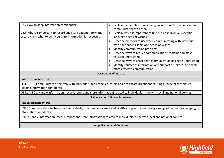| C2.2 How to keep information confidential<br>C2.3 Why it is important to record and store patient information                                                            | Explain the benefits of observing an individual's reactions when<br>communicating with them<br>Explain why it is important to find out an individual's specific<br>$\bullet$                                                                                                                                                                                                                                                                               |  |
|--------------------------------------------------------------------------------------------------------------------------------------------------------------------------|------------------------------------------------------------------------------------------------------------------------------------------------------------------------------------------------------------------------------------------------------------------------------------------------------------------------------------------------------------------------------------------------------------------------------------------------------------|--|
| securely and what to do if you think information is not secure                                                                                                           | language needs or wishes<br>Describe methods to use when communicating with individuals<br>$\bullet$<br>who have specific language needs or wishes<br>Identify communication problems<br>$\bullet$<br>Describe ways to reduce communication problems and make<br>yourself understood<br>Describe ways to check that communication has been understood<br>Identify sources of information and support or services to enable<br>more effective communication |  |
| <b>Observation of practice</b>                                                                                                                                           |                                                                                                                                                                                                                                                                                                                                                                                                                                                            |  |
| Pass assessment criteria                                                                                                                                                 |                                                                                                                                                                                                                                                                                                                                                                                                                                                            |  |
| OB1/OB1.2 Communicate effectively with individuals, their families, carers and healthcare practitioners using a range of techniques,<br>keeping information confidential |                                                                                                                                                                                                                                                                                                                                                                                                                                                            |  |
| OB2.1/OB2.2 Handle information (record, report and store information) related to individuals in line with local and national policies                                    |                                                                                                                                                                                                                                                                                                                                                                                                                                                            |  |
| <b>Evidence portfolio and interview</b>                                                                                                                                  |                                                                                                                                                                                                                                                                                                                                                                                                                                                            |  |
| Pass assessment criteria                                                                                                                                                 |                                                                                                                                                                                                                                                                                                                                                                                                                                                            |  |
| EPI1.1Communicate effectively with individuals, their families, carers and healthcare practitioners using a range of techniques, keeping<br>information confidential     |                                                                                                                                                                                                                                                                                                                                                                                                                                                            |  |
| EPI1.2 Handle information (record, report and store information) related to individuals in line with local and national policies                                         |                                                                                                                                                                                                                                                                                                                                                                                                                                                            |  |
| <b>Amplification and Guidance</b>                                                                                                                                        |                                                                                                                                                                                                                                                                                                                                                                                                                                                            |  |

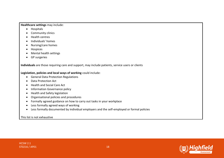### **Healthcare settings** may include:

- Hospitals
- Community clinics
- Health centres
- Individuals' homes
- Nursing/care homes
- Hospices
- Mental health settings
- GP surgeries

**Individuals** are those requiring care and support, may include patients, service users or clients

## **Legislation, policies and local ways of working** could include:

- General Data Protection Regulations
- Data Protection Act
- Health and Social Care Act
- Information Governance policy
- Health and Safety legislation
- Organisational policies and procedures
- Formally agreed guidance on how to carry out tasks in your workplace
- Less formally agreed ways of working
- Less formally documented by individual employers and the self-employed or formal policies

This list is not exhaustive

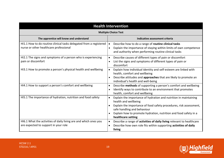| <b>Health Intervention</b>                                                                                   |                                                                                                                                                                                                                                                                                                      |
|--------------------------------------------------------------------------------------------------------------|------------------------------------------------------------------------------------------------------------------------------------------------------------------------------------------------------------------------------------------------------------------------------------------------------|
| <b>Multiple Choice Test</b>                                                                                  |                                                                                                                                                                                                                                                                                                      |
| The apprentice will know and understand                                                                      | Indicative assessment criteria                                                                                                                                                                                                                                                                       |
| HI1.1 How to do routine clinical tasks delegated from a registered<br>nurse or other healthcare professional | Describe how to do a range of routine clinical tasks<br>Explain the importance of staying within limits of own competence<br>and authority when performing routine clinical tasks                                                                                                                    |
| HI2.1 The signs and symptoms of a person who is experiencing<br>pain or discomfort                           | Describe causes of different types of pain or discomfort<br>$\bullet$<br>List the signs and symptoms of different types of pain or<br>discomfort                                                                                                                                                     |
| HI3.1 How to promote a person's physical health and wellbeing                                                | Explain how individual identity and self-esteem are linked with<br>$\bullet$<br>health, comfort and wellbeing<br>Describe attitudes and approaches that are likely to promote an<br>individual's health and well-being                                                                               |
| HI4.1 How to support a person's comfort and wellbeing                                                        | Describe methods of supporting a person's comfort and wellbeing<br>$\bullet$<br>Identify ways to contribute to an environment that promotes<br>health, comfort and wellbeing                                                                                                                         |
| HI5.1 The importance of hydration, nutrition and food safety                                                 | Explain the importance of hydration and nutrition in maintaining<br>$\bullet$<br>health and wellbeing<br>Explain the importance of food safety procedures, risk assessment,<br>safe handling and behaviour<br>Explain how to promote hydration, nutrition and food safety in a<br>healthcare setting |
| HI6.1 What the activities of daily living are and which ones you<br>are expected to support in your role     | Describe a range of activities of daily living relevant to healthcare<br>Describe how own role fits within supporting activities of daily<br>$\bullet$<br>living                                                                                                                                     |

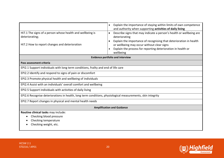| HI7.1 The signs of a person whose health and wellbeing is<br>deteriorating;<br>HI7.2 How to report changes and deterioration | Explain the importance of staying within limits of own competence<br>$\bullet$<br>and authority when supporting activities of daily living<br>Describe signs that may indicate a person's health or wellbeing are<br>$\bullet$<br>deteriorating<br>Explain the importance of recognising that deterioration in health<br>or wellbeing may occur without clear signs<br>Explain the process for reporting deterioration in health or<br>wellbeing |
|------------------------------------------------------------------------------------------------------------------------------|--------------------------------------------------------------------------------------------------------------------------------------------------------------------------------------------------------------------------------------------------------------------------------------------------------------------------------------------------------------------------------------------------------------------------------------------------|
|                                                                                                                              | <b>Evidence portfolio and interview</b>                                                                                                                                                                                                                                                                                                                                                                                                          |
| Pass assessment criteria                                                                                                     |                                                                                                                                                                                                                                                                                                                                                                                                                                                  |
| EPI2.1 Support individuals with long term conditions, frailty and end of life care                                           |                                                                                                                                                                                                                                                                                                                                                                                                                                                  |
| EPI2.2 Identify and respond to signs of pain or discomfort                                                                   |                                                                                                                                                                                                                                                                                                                                                                                                                                                  |
| EPI2.3 Promote physical health and wellbeing of individuals                                                                  |                                                                                                                                                                                                                                                                                                                                                                                                                                                  |
| EPI2.4 Assist with an individuals' overall comfort and wellbeing                                                             |                                                                                                                                                                                                                                                                                                                                                                                                                                                  |
| EPI2.5 Support individuals with activities of daily living                                                                   |                                                                                                                                                                                                                                                                                                                                                                                                                                                  |
| EPI2.6 Recognise deteriorations in health, long term conditions, physiological measurements, skin integrity                  |                                                                                                                                                                                                                                                                                                                                                                                                                                                  |
| EPI2.7 Report changes in physical and mental health needs                                                                    |                                                                                                                                                                                                                                                                                                                                                                                                                                                  |
| <b>Amplification and Guidance</b>                                                                                            |                                                                                                                                                                                                                                                                                                                                                                                                                                                  |
| Routine clinical tasks may include:<br>Checking blood pressure<br>Checking temperature<br>Checking weight, etc.              |                                                                                                                                                                                                                                                                                                                                                                                                                                                  |

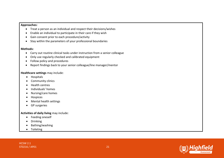#### **Approaches:**

- Treat a person as an individual and respect their decisions/wishes
- Enable an individual to participate in their care if they wish
- Gain consent prior to each procedure/activity
- Stay within the parameters of your professional boundaries

### **Methods:**

- Carry out routine clinical tasks under instruction from a senior colleague
- Only use regularly checked and calibrated equipment
- Follow policy and procedures
- Report findings back to your senior colleague/line manager/mentor

## **Healthcare settings** may include:

- Hospitals
- Community clinics
- Health centres
- Individuals' homes
- Nursing/care homes
- Hospices
- Mental health settings
- GP surgeries

## **Activities of daily living** may include:

- Feeding oneself
- Drinking
- Bathing/washing
- Toileting

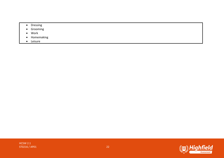- Dressing
- Grooming
- Work
- Homemaking
- Leisure

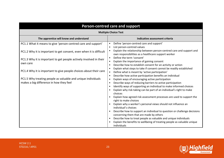| Person-centred care and support                                                                         |                                                                                                                                                           |
|---------------------------------------------------------------------------------------------------------|-----------------------------------------------------------------------------------------------------------------------------------------------------------|
| <b>Multiple Choice Test</b>                                                                             |                                                                                                                                                           |
| The apprentice will know and understand                                                                 | Indicative assessment criteria                                                                                                                            |
| PC1.1 What it means to give 'person-centred care and support'                                           | Define 'person-centred care and support'<br>List person-centred values                                                                                    |
| PC1.2 Why it is important to get consent, even when it is difficult                                     | Explain the relationship between person-centred care and support and<br>own responsibilities as a healthcare support worker                               |
| PC1.3 Why it is important to get people actively involved in their<br>own care                          | Define the term 'consent'<br>$\bullet$<br>Explain the importance of gaining consent                                                                       |
|                                                                                                         | Describe how to establish consent for an activity or action<br>$\bullet$<br>Explain what steps to take if consent cannot be readily established           |
| PC1.4 Why it is important to give people choices about their care                                       | Define what is meant by 'active participation'<br>Describe how active participation benefits an individual<br>$\bullet$                                   |
| PC1.5 Why treating people as valuable and unique individuals<br>makes a big difference in how they feel | Explain ways of encouraging active participation<br>$\bullet$<br>Describe ways of reducing barriers to active participation<br>$\bullet$                  |
|                                                                                                         | Identify ways of supporting an individual to make informed choices<br>Explain why risk-taking can be part of an individual's right to make                |
|                                                                                                         | choices<br>Explain how agreed risk assessment processes are used to support the<br>right to make choices                                                  |
|                                                                                                         | Explain why a worker's personal views should not influence an<br>individual's choices                                                                     |
|                                                                                                         | Describe how to support an individual to question or challenge decisions<br>concerning them that are made by others                                       |
|                                                                                                         | Describe how to treat people as valuable and unique individuals<br>Explain the benefits to wellbeing of treating people as valuable unique<br>individuals |



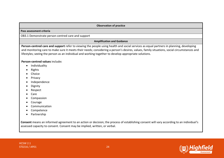#### **Observation of practice**

#### **Pass assessment criteria**

OB3.1 Demonstrate person-centred care and support

#### **Amplification and Guidance**

**Person-centred care and support** refer to viewing the people using health and social services as equal partners in planning, developing and monitoring care to make sure it meets their needs; considering a person's desires, values, family situations, social circumstances and lifestyles; seeing the person as an individual and working together to develop appropriate solutions.

#### **Person-centred values** include**:**

- Individuality
- Rights
- Choice
- Privacy
- Independence
- Dignity
- Respect
- Care
- Compassion
- Courage
- Communication
- **Competence**
- Partnership

**Consent** means an informed agreement to an action or decision; the process of establishing consent will vary according to an individual's assessed capacity to consent. Consent may be implied, written, or verbal.

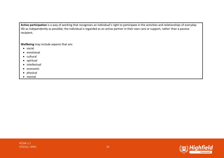**Active participation** is a way of working that recognises an individual's right to participate in the activities and relationships of everyday life as independently as possible; the individual is regarded as an active partner in their own care or support, rather than a passive recipient.

**Wellbeing** may include aspects that are:

- social
- emotional
- cultural
- spiritual
- intellectual
- economic
- physical
- mental

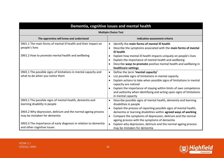| Dementia, cognitive issues and mental health                    |                                                                                                                                             |  |
|-----------------------------------------------------------------|---------------------------------------------------------------------------------------------------------------------------------------------|--|
| <b>Multiple Choice Test</b>                                     |                                                                                                                                             |  |
| The apprentice will know and understand                         | Indicative assessment criteria                                                                                                              |  |
| DM1.1 The main forms of mental ill health and their impact on   | Identify the main forms of mental ill health<br>$\bullet$                                                                                   |  |
| people's lives                                                  | Describe the symptoms associated with the main forms of mental<br>$\bullet$<br>ill health                                                   |  |
| DM1.2 How to promote mental health and wellbeing                | Explain how mental ill health impacts uniquely on people's lives<br>$\bullet$                                                               |  |
|                                                                 | Explain the importance of mental health and wellbeing<br>$\bullet$                                                                          |  |
|                                                                 | Describe ways to promote positive mental health and wellbeing in                                                                            |  |
|                                                                 | healthcare settings                                                                                                                         |  |
| DM2.1 The possible signs of limitations in mental capacity and  | Define the term 'mental capacity'<br>$\bullet$                                                                                              |  |
| what to do when you notice them                                 | List possible signs of limitations in mental capacity<br>$\bullet$                                                                          |  |
|                                                                 | Explain actions to take when possible signs of limitations in mental<br>capacity are noticed                                                |  |
|                                                                 | Explain the importance of staying within limits of own competence<br>$\bullet$                                                              |  |
|                                                                 | and authority when identifying and acting upon signs of limitations<br>in mental capacity                                                   |  |
| DM3.1 The possible signs of mental health, dementia and         | Describe possible signs of mental health, dementia and learning<br>$\bullet$                                                                |  |
| learning disability in people                                   | disabilities in people                                                                                                                      |  |
| DM3.2 Why depression, delirium and the normal ageing process    | Explain the process of reporting possible signs of mental health,<br>$\bullet$                                                              |  |
| may be mistaken for dementia                                    | dementia or learning disabilities within agreed ways of working<br>Compare the symptoms of depression, delirium and the normal<br>$\bullet$ |  |
|                                                                 | ageing process with the symptoms of dementia                                                                                                |  |
| DM3.3 The importance of early diagnosis in relation to dementia | Explain why depression, delirium and the normal ageing process                                                                              |  |
| and other cognitive issues                                      | may be mistaken for dementia                                                                                                                |  |

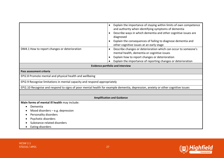|                                                                                                                                  | Explain the importance of staying within limits of own competence<br>$\bullet$<br>and authority when identifying symptoms of dementia<br>Describe ways in which dementia and other cognitive issues are<br>$\bullet$<br>diagnosed<br>Explain the consequences of failing to diagnose dementia and |  |
|----------------------------------------------------------------------------------------------------------------------------------|---------------------------------------------------------------------------------------------------------------------------------------------------------------------------------------------------------------------------------------------------------------------------------------------------|--|
|                                                                                                                                  | other cognitive issues at an early stage                                                                                                                                                                                                                                                          |  |
| DM4.1 How to report changes or deterioration                                                                                     | Describe changes or deterioration which can occur to someone's<br>$\bullet$<br>mental health, dementia or cognitive issues<br>Explain how to report changes or deterioration<br>$\bullet$<br>Explain the importance of reporting changes or deterioration<br>$\bullet$                            |  |
| <b>Evidence portfolio and interview</b>                                                                                          |                                                                                                                                                                                                                                                                                                   |  |
| Pass assessment criteria                                                                                                         |                                                                                                                                                                                                                                                                                                   |  |
| EPI2.8 Promote mental and physical health and wellbeing                                                                          |                                                                                                                                                                                                                                                                                                   |  |
| EPI2.9 Recognise limitations in mental capacity and respond appropriately                                                        |                                                                                                                                                                                                                                                                                                   |  |
| EPI2.10 Recognise and respond to signs of poor mental health for example dementia, depression, anxiety or other cognitive issues |                                                                                                                                                                                                                                                                                                   |  |
|                                                                                                                                  |                                                                                                                                                                                                                                                                                                   |  |
| <b>Amplification and Guidance</b>                                                                                                |                                                                                                                                                                                                                                                                                                   |  |
| Main forms of mental ill health may include:                                                                                     |                                                                                                                                                                                                                                                                                                   |  |
| Dementia                                                                                                                         |                                                                                                                                                                                                                                                                                                   |  |
| Mood disorders $-$ e.g. depression                                                                                               |                                                                                                                                                                                                                                                                                                   |  |
| Personality disorders                                                                                                            |                                                                                                                                                                                                                                                                                                   |  |
| Psychotic disorders<br>Substance-related disorders                                                                               |                                                                                                                                                                                                                                                                                                   |  |
| Eating disorders                                                                                                                 |                                                                                                                                                                                                                                                                                                   |  |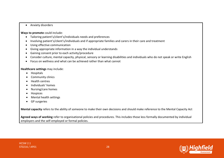• Anxiety disorders

## **Ways to promote** could include:

- Tailoring patient's/client's/individuals needs and preferences
- Involving patient's/client's/individuals and if appropriate families and carers in their care and treatment
- Using effective communication
- Giving appropriate information in a way the individual understands
- Gaining consent prior to each activity/procedure
- Consider culture, mental capacity, physical, sensory or learning disabilities and individuals who do not speak or write English
- Focus on wellness and what can be achieved rather than what cannot

## **Healthcare settings** may include:

- Hospitals
- Community clinics
- Health centres
- Individuals' homes
- Nursing/care homes
- Hospices
- Mental health settings
- GP surgeries

**Mental capacity** refers to the ability of someone to make their own decisions and should make reference to the Mental Capacity Act

**Agreed ways of working** refer to organisational policies and procedures. This includes those less formally documented by individual employers and the self-employed or formal policies.

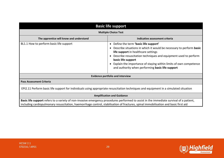| <b>Basic life support</b>                                                                                                                                                                                                                                                      |                                                                                                                                                                                                                                                                                                                                                                          |
|--------------------------------------------------------------------------------------------------------------------------------------------------------------------------------------------------------------------------------------------------------------------------------|--------------------------------------------------------------------------------------------------------------------------------------------------------------------------------------------------------------------------------------------------------------------------------------------------------------------------------------------------------------------------|
| <b>Multiple Choice Test</b>                                                                                                                                                                                                                                                    |                                                                                                                                                                                                                                                                                                                                                                          |
| The apprentice will know and understand                                                                                                                                                                                                                                        | Indicative assessment criteria                                                                                                                                                                                                                                                                                                                                           |
| BL1.1 How to perform basic life support                                                                                                                                                                                                                                        | • Define the term 'basic life support'<br>• Describe situations in which it would be necessary to perform basic<br>life support in healthcare settings<br>Describe resuscitation techniques and equipment used to perform<br>basic life support<br>Explain the importance of staying within limits of own competence<br>and authority when performing basic life support |
|                                                                                                                                                                                                                                                                                | <b>Evidence portfolio and interview</b>                                                                                                                                                                                                                                                                                                                                  |
| <b>Pass Assessment Criteria</b>                                                                                                                                                                                                                                                |                                                                                                                                                                                                                                                                                                                                                                          |
| EPI2.11 Perform basic life support for individuals using appropriate resuscitation techniques and equipment in a simulated situation                                                                                                                                           |                                                                                                                                                                                                                                                                                                                                                                          |
| <b>Amplification and Guidance</b>                                                                                                                                                                                                                                              |                                                                                                                                                                                                                                                                                                                                                                          |
| Basic life support refers to a variety of non-invasive emergency procedures performed to assist in the immediate survival of a patient,<br>including cardiopulmonary resuscitation, haemorrhage control, stabilisation of fractures, spinal immobilisation and basic first aid |                                                                                                                                                                                                                                                                                                                                                                          |



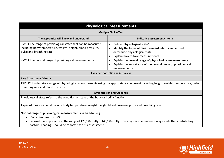| <b>Physiological Measurements</b>                                                                                                                                                                               |                                                                                                                                                                                                                                                                                                                                                                       |  |
|-----------------------------------------------------------------------------------------------------------------------------------------------------------------------------------------------------------------|-----------------------------------------------------------------------------------------------------------------------------------------------------------------------------------------------------------------------------------------------------------------------------------------------------------------------------------------------------------------------|--|
| <b>Multiple Choice Test</b>                                                                                                                                                                                     |                                                                                                                                                                                                                                                                                                                                                                       |  |
| The apprentice will know and understand                                                                                                                                                                         | Indicative assessment criteria                                                                                                                                                                                                                                                                                                                                        |  |
| PM1.1 The range of physiological states that can be measured<br>including body temperature, weight, height, blood pressure,<br>pulse and breathing rate<br>PM2.1 The normal range of physiological measurements | Define 'physiological state'<br>$\bullet$<br>Identify the types of measurement which can be used to<br>$\bullet$<br>determine physiological state<br>Explain how to take measurements<br>$\bullet$<br>Explain the normal range of physiological measurements<br>$\bullet$<br>Explain the importance of the normal range of physiological<br>$\bullet$<br>measurements |  |
|                                                                                                                                                                                                                 | <b>Evidence portfolio and interview</b>                                                                                                                                                                                                                                                                                                                               |  |
| <b>Pass Assessment Criteria</b>                                                                                                                                                                                 |                                                                                                                                                                                                                                                                                                                                                                       |  |
| EPI2.12. Undertake a range of physiological measurements using the appropriate equipment including height, weight, temperature, pulse,<br>breathing rate and blood pressure                                     |                                                                                                                                                                                                                                                                                                                                                                       |  |
| <b>Amplification and Guidance</b>                                                                                                                                                                               |                                                                                                                                                                                                                                                                                                                                                                       |  |
| Physiological state refers to the condition or state of the body or bodily functions                                                                                                                            |                                                                                                                                                                                                                                                                                                                                                                       |  |
| Types of measure could include body temperature, weight, height, blood pressure, pulse and breathing rate                                                                                                       |                                                                                                                                                                                                                                                                                                                                                                       |  |
| Normal range of physiological measurements in an adult e.g.:                                                                                                                                                    |                                                                                                                                                                                                                                                                                                                                                                       |  |
| Body temperature 37°C                                                                                                                                                                                           |                                                                                                                                                                                                                                                                                                                                                                       |  |
| Normal Blood pressure in the range of 120/80mmHg - 140/90mmHg. This may vary dependent on age and other contributing<br>factors. Readings should be reported for risk assessment                                |                                                                                                                                                                                                                                                                                                                                                                       |  |

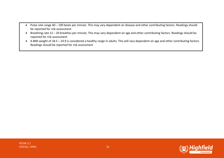- Pulse rate range 60 100 beats per minute. This may vary dependent on disease and other contributing factors. Readings should be reported for risk assessment
- Breathing rate 12 20 breathes per minute. This may vary dependent on age and other contributing factors. Readings should be reported for risk assessment
- A BMI weight of 18.5 24.9 is considered a healthy range in adults. This will vary dependent on age and other contributing factors. Readings should be reported for risk assessment

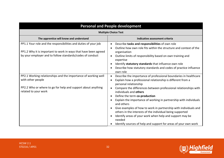| <b>Personal and People development</b>                                                                                                                                                          |                                                                                                                                                                                                                                                                                                                             |
|-------------------------------------------------------------------------------------------------------------------------------------------------------------------------------------------------|-----------------------------------------------------------------------------------------------------------------------------------------------------------------------------------------------------------------------------------------------------------------------------------------------------------------------------|
| <b>Multiple Choice Test</b>                                                                                                                                                                     |                                                                                                                                                                                                                                                                                                                             |
| The apprentice will know and understand                                                                                                                                                         | Indicative assessment criteria                                                                                                                                                                                                                                                                                              |
| PP1.1 Your role and the responsibilities and duties of your job<br>PP1.2 Why it is important to work in ways that have been agreed<br>by your employer and to follow standards/codes of conduct | Describe tasks and responsibilities of own role<br>$\bullet$<br>Outline how own role fits within the structure and context of the<br>$\bullet$<br>organisation<br>Outline limits of responsibility based on own training and<br>$\bullet$<br>expertise<br>Identify statutory standards that influence own role<br>$\bullet$ |
|                                                                                                                                                                                                 | Describe how statutory standards and codes of practice influence<br>$\bullet$<br>own role                                                                                                                                                                                                                                   |
| PP2.1 Working relationships and the importance of working well<br>with other people                                                                                                             | Describe the importance of professional boundaries in healthcare<br>$\bullet$<br>Explain how a professional relationship is different from a<br>$\bullet$<br>personal relationship                                                                                                                                          |
| PP2.2 Who or where to go for help and support about anything<br>related to your work                                                                                                            | Compare the differences between professional relationships with<br>$\bullet$<br>individuals and others<br>Define the term co-production<br>$\bullet$                                                                                                                                                                        |
|                                                                                                                                                                                                 | Explain the importance of working in partnership with individuals<br>$\bullet$<br>and others                                                                                                                                                                                                                                |
|                                                                                                                                                                                                 | Give examples of how to work in partnership with individuals and<br>$\bullet$<br>others in the interests of the individual being supported<br>Identify areas of your work when help and support may be<br>$\bullet$<br>needed                                                                                               |
|                                                                                                                                                                                                 | Identify sources of help and support for areas of your own work                                                                                                                                                                                                                                                             |

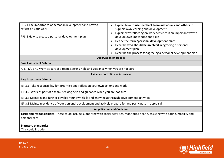| PP3.1 The importance of personal development and how to<br>reflect on your work<br>PP3.2 How to create a personal development plan                         | Explain how to use feedback from individuals and others to<br>$\bullet$<br>support own learning and development<br>Explain why reflecting on work activities is an important way to<br>develop own knowledge and skills<br>Define the term "personal development plan"<br>Describe who should be involved in agreeing a personal<br>development plan<br>Describe the process for agreeing a personal development plan |  |
|------------------------------------------------------------------------------------------------------------------------------------------------------------|-----------------------------------------------------------------------------------------------------------------------------------------------------------------------------------------------------------------------------------------------------------------------------------------------------------------------------------------------------------------------------------------------------------------------|--|
| <b>Observation of practice</b>                                                                                                                             |                                                                                                                                                                                                                                                                                                                                                                                                                       |  |
| <b>Pass Assessment Criteria</b>                                                                                                                            |                                                                                                                                                                                                                                                                                                                                                                                                                       |  |
| OB7.1/OB7.2 Work as part of a team, seeking help and guidance when you are not sure                                                                        |                                                                                                                                                                                                                                                                                                                                                                                                                       |  |
| <b>Evidence portfolio and interview</b>                                                                                                                    |                                                                                                                                                                                                                                                                                                                                                                                                                       |  |
| <b>Pass Assessment Criteria</b>                                                                                                                            |                                                                                                                                                                                                                                                                                                                                                                                                                       |  |
| EPI3.1 Take responsibility for, prioritise and reflect on your own actions and work                                                                        |                                                                                                                                                                                                                                                                                                                                                                                                                       |  |
| EPI3.2. Work as part of a team, seeking help and guidance when you are not sure                                                                            |                                                                                                                                                                                                                                                                                                                                                                                                                       |  |
| EPI3.3 Maintain and further develop your own skills and knowledge through development activities                                                           |                                                                                                                                                                                                                                                                                                                                                                                                                       |  |
| EPI3.3 Maintain evidence of your personal development and actively prepare for and participate in appraisal                                                |                                                                                                                                                                                                                                                                                                                                                                                                                       |  |
| <b>Amplification and Guidance</b>                                                                                                                          |                                                                                                                                                                                                                                                                                                                                                                                                                       |  |
| Tasks and responsibilities: These could include supporting with social activities, monitoring health, assisting with eating, mobility and<br>personal care |                                                                                                                                                                                                                                                                                                                                                                                                                       |  |
| <b>Statutory standards:</b><br>This could include:                                                                                                         |                                                                                                                                                                                                                                                                                                                                                                                                                       |  |

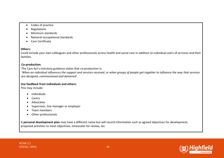- Codes of practice
- Regulations
- Minimum standards
- National occupational standards
- Care Certificate

## **Others:**

Could include your own colleagues and other professionals across health and social care in addition to individual users of services and their families.

## **Co-production:**

The Care Act's statutory guidance states that co-production is: *'When an individual influences the support and services received, or when groups of people get together to influence the way that services are designed, commissioned and delivered'.* 

## **Use feedback from individuals and others:**

This may include:

- Individuals
- Carers
- Advocates
- Supervisor, line manager or employer
- Team members
- Other professionals

A **personal development plan** may have a different name but will record information such as agreed objectives for development, proposed activities to meet objectives, timescales for review, etc.

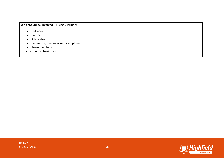**Who should be involved:** This may include:

- Individuals
- Carers
- Advocates
- Supervisor, line manager or employer
- Team members
- Other professionals

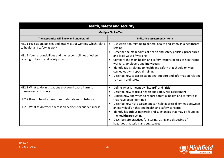| Health, safety and security                                                                                                                                                                                    |                                                                                                                                                                                                                                                                                                                                                                                                                                                                                                                                               |
|----------------------------------------------------------------------------------------------------------------------------------------------------------------------------------------------------------------|-----------------------------------------------------------------------------------------------------------------------------------------------------------------------------------------------------------------------------------------------------------------------------------------------------------------------------------------------------------------------------------------------------------------------------------------------------------------------------------------------------------------------------------------------|
| <b>Multiple Choice Test</b>                                                                                                                                                                                    |                                                                                                                                                                                                                                                                                                                                                                                                                                                                                                                                               |
| The apprentice will know and understand                                                                                                                                                                        | Indicative assessment criteria                                                                                                                                                                                                                                                                                                                                                                                                                                                                                                                |
| HS1.1 Legislation, policies and local ways of working which relate<br>to health and safety at work<br>HS1.2 Your responsibilities and the responsibilities of others,<br>relating to health and safety at work | List legislation relating to general health and safety in a healthcare<br>$\bullet$<br>setting<br>Describe the main points of health and safety policies, procedures<br>$\bullet$<br>and local ways of working<br>Compare the main health and safety responsibilities of healthcare<br>$\bullet$<br>workers, employers and individuals<br>Identify tasks relating to health and safety that should only be<br>carried out with special training<br>Describe how to access additional support and information relating<br>to health and safety |
| HS2.1 What to do in situations that could cause harm to<br>themselves and others<br>HS2.2 How to handle hazardous materials and substances                                                                     | Define what is meant by "hazard" and "risk"<br>$\bullet$<br>Describe how to use a health and safety risk assessment<br>$\bullet$<br>Explain how and when to report potential health and safety risks                                                                                                                                                                                                                                                                                                                                          |
| HS2.3 What to do when there is an accident or sudden illness                                                                                                                                                   | that have been identified<br>Describe how risk assessment can help address dilemmas between<br>an individual's rights and health and safety concerns<br>Identify hazardous materials and substances that may be found in<br>$\bullet$<br>the healthcare setting<br>Describe safe practices for storing, using and disposing of<br>hazardous materials and substances                                                                                                                                                                          |

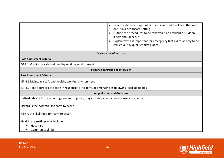|                                                                                                   | Describe different types of accidents and sudden illness that may<br>$\bullet$<br>occur in a healthcare setting<br>Outline the procedures to be followed if an accident or sudden<br>$\bullet$<br>illness should occur<br>Explain why it is important for emergency first aid tasks only to be<br>carried out by qualified first aiders |
|---------------------------------------------------------------------------------------------------|-----------------------------------------------------------------------------------------------------------------------------------------------------------------------------------------------------------------------------------------------------------------------------------------------------------------------------------------|
|                                                                                                   | <b>Observation of practice</b>                                                                                                                                                                                                                                                                                                          |
| <b>Pass Assessment Criteria</b>                                                                   |                                                                                                                                                                                                                                                                                                                                         |
| OB8.1 Maintain a safe and healthy working environment                                             |                                                                                                                                                                                                                                                                                                                                         |
| <b>Evidence portfolio and interview</b>                                                           |                                                                                                                                                                                                                                                                                                                                         |
| <b>Pass Assessment Criteria</b>                                                                   |                                                                                                                                                                                                                                                                                                                                         |
| EPI4.1 Maintain a safe and healthy working environment                                            |                                                                                                                                                                                                                                                                                                                                         |
| EPI4.2 Take appropriate action in response to incidents or emergencies following local guidelines |                                                                                                                                                                                                                                                                                                                                         |
|                                                                                                   | <b>Amplification and Guidance</b>                                                                                                                                                                                                                                                                                                       |
| Individuals are those requiring care and support, may include patients, service users or clients  |                                                                                                                                                                                                                                                                                                                                         |
| Hazard is the potential for harm to occur                                                         |                                                                                                                                                                                                                                                                                                                                         |
| Risk is the likelihood for harm to occur                                                          |                                                                                                                                                                                                                                                                                                                                         |
| Healthcare settings may include:                                                                  |                                                                                                                                                                                                                                                                                                                                         |
| Hospitals                                                                                         |                                                                                                                                                                                                                                                                                                                                         |
| Community clinics                                                                                 |                                                                                                                                                                                                                                                                                                                                         |

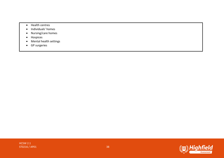- Health centres
- Individuals' homes
- Nursing/care homes
- Hospices
- Mental health settings
- GP surgeries

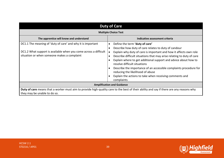| <b>Duty of Care</b>                                                                                                                                                            |                                                                                                                                                                                                                                                                                                                                                                                                                                                                                                                                                                                                |  |
|--------------------------------------------------------------------------------------------------------------------------------------------------------------------------------|------------------------------------------------------------------------------------------------------------------------------------------------------------------------------------------------------------------------------------------------------------------------------------------------------------------------------------------------------------------------------------------------------------------------------------------------------------------------------------------------------------------------------------------------------------------------------------------------|--|
| <b>Multiple Choice Test</b>                                                                                                                                                    |                                                                                                                                                                                                                                                                                                                                                                                                                                                                                                                                                                                                |  |
| The apprentice will know and understand                                                                                                                                        | Indicative assessment criteria                                                                                                                                                                                                                                                                                                                                                                                                                                                                                                                                                                 |  |
| DC1.1 The meaning of 'duty of care' and why it is important<br>DC1.2 What support is available when you come across a difficult<br>situation or when someone makes a complaint | Define the term 'duty of care'<br>$\bullet$<br>Describe how duty of care relates to duty of candour<br>$\epsilon$<br>Explain why duty of care is important and how it affects own role<br>Describe difficult situations that may arise relating to duty of care<br>$\epsilon$<br>Explain where to get additional support and advice about how to<br>resolve difficult situations<br>Describe the importance of an accessible complaints procedure for<br>$\epsilon$<br>reducing the likelihood of abuse<br>Explain the actions to take when receiving comments and<br>$\epsilon$<br>complaints |  |
| <b>Amplification and Guidance</b>                                                                                                                                              |                                                                                                                                                                                                                                                                                                                                                                                                                                                                                                                                                                                                |  |
| Duty of care means that a worker must aim to provide high-quality care to the best of their ability and say if there are any reasons why<br>they may be unable to do so.       |                                                                                                                                                                                                                                                                                                                                                                                                                                                                                                                                                                                                |  |



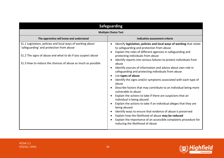| <b>Safeguarding</b>                                                                                                                                                                                                                  |                                                                                                                                                                                                                                                                                                                                                                                                                                                                                                                                                                                                                                                                                                                                                                                                                                                                                                                                                                                                                                                                                                                                     |
|--------------------------------------------------------------------------------------------------------------------------------------------------------------------------------------------------------------------------------------|-------------------------------------------------------------------------------------------------------------------------------------------------------------------------------------------------------------------------------------------------------------------------------------------------------------------------------------------------------------------------------------------------------------------------------------------------------------------------------------------------------------------------------------------------------------------------------------------------------------------------------------------------------------------------------------------------------------------------------------------------------------------------------------------------------------------------------------------------------------------------------------------------------------------------------------------------------------------------------------------------------------------------------------------------------------------------------------------------------------------------------------|
| <b>Multiple Choice Test</b>                                                                                                                                                                                                          |                                                                                                                                                                                                                                                                                                                                                                                                                                                                                                                                                                                                                                                                                                                                                                                                                                                                                                                                                                                                                                                                                                                                     |
| The apprentice will know and understand                                                                                                                                                                                              | Indicative assessment criteria                                                                                                                                                                                                                                                                                                                                                                                                                                                                                                                                                                                                                                                                                                                                                                                                                                                                                                                                                                                                                                                                                                      |
| S1.1 Legislation, policies and local ways of working about<br>'safeguarding' and protection from abuse<br>S1.2 The signs of abuse and what to do if you suspect abuse<br>S1.3 How to reduce the chances of abuse as much as possible | Identify legislation, policies and local ways of working that relate<br>to safeguarding and protection from abuse<br>Explain the roles of different agencies in safeguarding and<br>protecting individuals from abuse<br>Identify reports into serious failures to protect individuals from<br>$\bullet$<br>abuse<br>Identify sources of information and advice about own role in<br>$\bullet$<br>safeguarding and protecting individuals from abuse<br>List types of abuse<br>$\bullet$<br>Identify the signs and/or symptoms associated with each type of<br>$\bullet$<br>abuse<br>Describe factors that may contribute to an individual being more<br>vulnerable to abuse<br>Explain the actions to take if there are suspicions that an<br>$\bullet$<br>individual is being abused<br>Explain the actions to take if an individual alleges that they are<br>$\bullet$<br>being abused<br>Identify ways to ensure that evidence of abuse is preserved<br>$\bullet$<br>Explain how the likelihood of abuse may be reduced<br>Explain the importance of an accessible complaints procedure for<br>reducing the likelihood of abuse |

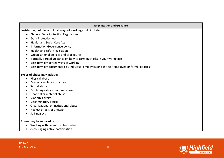| <b>Amplification and Guidance</b>                                                         |
|-------------------------------------------------------------------------------------------|
| Legislation, policies and local ways of working could include:                            |
| <b>General Data Protection Regulations</b><br>$\bullet$                                   |
| <b>Data Protection Act</b>                                                                |
| <b>Health and Social Care Act</b><br>$\bullet$                                            |
| Information Governance policy<br>$\bullet$                                                |
| Health and Safety legislation<br>$\bullet$                                                |
| Organisational policies and procedures<br>$\bullet$                                       |
| Formally agreed guidance on how to carry out tasks in your workplace                      |
| Less formally agreed ways of working                                                      |
| Less formally documented by individual employers and the self-employed or formal policies |
| Types of abuse may include:                                                               |
| Physical abuse<br>$\bullet$                                                               |
| Domestic violence or abuse                                                                |
| Sexual abuse<br>$\bullet$                                                                 |
| Psychological or emotional abuse<br>$\bullet$                                             |
| Financial or material abuse                                                               |
| Modern slavery<br>$\bullet$                                                               |
| Discriminatory abuse<br>$\bullet$                                                         |
| Organisational or institutional abuse<br>$\bullet$                                        |
| Neglect or acts of omission                                                               |
| Self-neglect<br>$\bullet$                                                                 |
| Abuse may be reduced by:                                                                  |
| Working with person-centred values                                                        |
| encouraging active participation<br>$\bullet$                                             |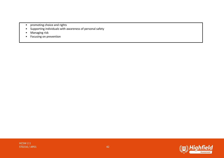- promoting choice and rights
- Supporting individuals with awareness of personal safety
- Managing risk
- Focusing on prevention

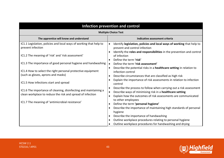| Infection prevention and control                                                                                               |                                                                                                                                                                                                                                        |
|--------------------------------------------------------------------------------------------------------------------------------|----------------------------------------------------------------------------------------------------------------------------------------------------------------------------------------------------------------------------------------|
| <b>Multiple Choice Test</b>                                                                                                    |                                                                                                                                                                                                                                        |
| The apprentice will know and understand                                                                                        | Indicative assessment criteria                                                                                                                                                                                                         |
| IC1.1 Legislation, policies and local ways of working that help to<br>prevent infection                                        | Identify legislation, policies and local ways of working that help to<br>$\bullet$<br>prevent and control infection                                                                                                                    |
| IC1.2 The meaning of 'risk' and 'risk assessment'                                                                              | Identify the roles and responsibilities in the prevention and control<br>$\bullet$<br>of infection                                                                                                                                     |
| IC1.3 The importance of good personal hygiene and handwashing                                                                  | Define the term 'risk'<br>Define the term 'risk assessment'                                                                                                                                                                            |
| IC1.4 How to select the right personal protective equipment<br>(such as gloves, aprons and masks)                              | Describe the potential risks in a healthcare setting in relation to<br>$\bullet$<br>infection control<br>Describe circumstances that are classified as high risk<br>$\bullet$                                                          |
| IC1.5 How infections start and spread                                                                                          | Explain the importance of risk assessments in relation to infection<br>control                                                                                                                                                         |
| IC1.6 The importance of cleaning, disinfecting and maintaining a<br>clean workplace to reduce the risk and spread of infection | Describe the process to follow when carrying out a risk assessment<br>$\bullet$<br>Describe ways of minimising risk in a healthcare setting<br>$\bullet$<br>Explain how the outcomes of risk assessments are communicated<br>$\bullet$ |
| IC1.7 The meaning of 'antimicrobial resistance'                                                                                | to other employees<br>Define the term 'personal hygiene'<br>$\bullet$                                                                                                                                                                  |
|                                                                                                                                | Describe the importance of maintaining high standards of personal<br>$\bullet$<br>hygiene                                                                                                                                              |
|                                                                                                                                | Describe the importance of handwashing                                                                                                                                                                                                 |
|                                                                                                                                | Outline workplace procedures relating to personal hygiene<br>$\bullet$<br>Outline workplace procedures for handwashing and drying                                                                                                      |

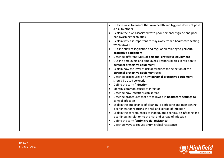| Outline ways to ensure that own health and hygiene does not pose<br>$\bullet$<br>a risk to others<br>Explain the risks associated with poor personal hygiene and poor<br>$\bullet$<br>handwashing techniques<br>Explain why it is important to stay away from a healthcare setting<br>when unwell<br>Outline current legislation and regulation relating to personal<br>protective equipment<br>Describe different types of personal protective equipment<br>Outline employers and employees' responsibilities in relation to<br>personal protective equipment<br>Explain how the level of risk determines the selection of the<br>personal protective equipment used<br>Describe procedures on how personal protective equipment<br>should be used correctly<br>Define the term 'infection'<br>$\bullet$<br>Identify common causes of infection<br>$\bullet$<br>Describe how infections can spread<br>Describe procedures that are followed in healthcare settings to<br>control infection<br>Explain the importance of cleaning, disinfecting and maintaining<br>cleanliness for reducing the risk and spread of infection<br>Explain the consequences of inadequate cleaning, disinfecting and<br>$\bullet$<br>cleanliness in relation to the risk and spread of infection<br>Define the term 'antimicrobial resistance'<br>$\bullet$ |
|------------------------------------------------------------------------------------------------------------------------------------------------------------------------------------------------------------------------------------------------------------------------------------------------------------------------------------------------------------------------------------------------------------------------------------------------------------------------------------------------------------------------------------------------------------------------------------------------------------------------------------------------------------------------------------------------------------------------------------------------------------------------------------------------------------------------------------------------------------------------------------------------------------------------------------------------------------------------------------------------------------------------------------------------------------------------------------------------------------------------------------------------------------------------------------------------------------------------------------------------------------------------------------------------------------------------------------------|
|                                                                                                                                                                                                                                                                                                                                                                                                                                                                                                                                                                                                                                                                                                                                                                                                                                                                                                                                                                                                                                                                                                                                                                                                                                                                                                                                          |
|                                                                                                                                                                                                                                                                                                                                                                                                                                                                                                                                                                                                                                                                                                                                                                                                                                                                                                                                                                                                                                                                                                                                                                                                                                                                                                                                          |
|                                                                                                                                                                                                                                                                                                                                                                                                                                                                                                                                                                                                                                                                                                                                                                                                                                                                                                                                                                                                                                                                                                                                                                                                                                                                                                                                          |
| Describe ways to reduce antimicrobial resistance                                                                                                                                                                                                                                                                                                                                                                                                                                                                                                                                                                                                                                                                                                                                                                                                                                                                                                                                                                                                                                                                                                                                                                                                                                                                                         |



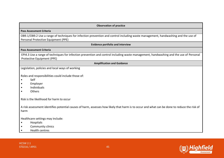| <b>Observation of practice</b>                                                                                                                                           |
|--------------------------------------------------------------------------------------------------------------------------------------------------------------------------|
| <b>Pass Assessment Criteria</b>                                                                                                                                          |
| OB9.1/OB9.2 Use a range of techniques for infection prevention and control including waste management, handwashing and the use of<br>Personal Protective Equipment (PPE) |
| <b>Evidence portfolio and interview</b>                                                                                                                                  |
| <b>Pass Assessment Criteria</b>                                                                                                                                          |
| EPI4.3 Use a range of techniques for infection prevention and control including waste management, handwashing and the use of Personal<br>Protective Equipment (PPE)      |
| <b>Amplification and Guidance</b>                                                                                                                                        |
| Legislation, policies and local ways of working                                                                                                                          |
| Roles and responsibilities could include those of:<br>Self<br>Employer<br>Individuals<br><b>Others</b><br>Risk is the likelihood for harm to occur                       |
| A risk assessment identifies potential causes of harm, assesses how likely that harm is to occur and what can be done to reduce the risk of<br>harm                      |
| Healthcare settings may include:<br>Hospitals<br><b>Community clinics</b><br><b>Health centres</b>                                                                       |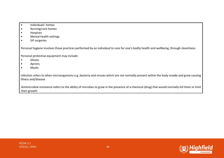- Individuals' homes
- Nursing/care homes
- Hospices
- Mental health settings
- GP surgeries

Personal hygiene involves those practices performed by an individual to care for one's bodily health and wellbeing, through cleanliness

Personal protective equipment may include:

- Gloves
- Aprons
- Masks

Infection refers to when microorganisms e.g. bacteria and viruses which are not normally present within the body invade and grow causing illness and/disease

Antimicrobial resistance refers to the ability of microbes to grow in the presence of a chemical (drug) that would normally kill them or limit their growth

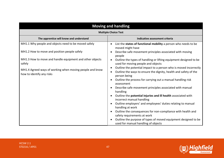| <b>Moving and handling</b>                                                            |                                                                                                                                                                 |
|---------------------------------------------------------------------------------------|-----------------------------------------------------------------------------------------------------------------------------------------------------------------|
| <b>Multiple Choice Test</b>                                                           |                                                                                                                                                                 |
| The apprentice will know and understand                                               | Indicative assessment criteria                                                                                                                                  |
| MH1.1 Why people and objects need to be moved safely                                  | List the states of functional mobility a person who needs to be<br>$\bullet$<br>moved might have                                                                |
| MH1.2 How to move and position people safely                                          | Describe safe movement principles associated with moving<br>٠<br>people                                                                                         |
| MH1.3 How to move and handle equipment and other objects<br>safely                    | Outline the types of handling or lifting equipment designed to be<br>$\bullet$<br>used for moving people and objects                                            |
| MH1.4 Agreed ways of working when moving people and know<br>how to identify any risks | Outline the potential impact to a person who is moved incorrectly<br>٠<br>Outline the ways to ensure the dignity, health and safety of the<br>٠<br>person being |
|                                                                                       | Outline the process for carrying out a manual handling risk<br>٠<br>assessment                                                                                  |
|                                                                                       | Describe safe movement principles associated with manual<br>$\bullet$<br>handling                                                                               |
|                                                                                       | Outline the potential injuries and ill health associated with<br>$\bullet$<br>incorrect manual handling                                                         |
|                                                                                       | Outline employers' and employees' duties relating to manual<br>$\bullet$<br>handling at work                                                                    |
|                                                                                       | Outline the consequences for non-compliance with health and<br>$\bullet$<br>safety requirements at work                                                         |
|                                                                                       | Outline the purpose of types of moved equipment designed to be<br>$\bullet$<br>used for manual handling of objects                                              |

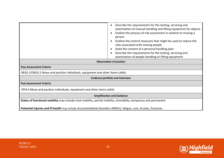|                                                                                                                   | Describe the requirements for the testing, servicing and<br>$\bullet$<br>examination of manual handling and lifting equipment for objects<br>Outline the process of risk assessment in relation to moving a<br>person<br>Outline the control measures that might be used to reduce the<br>risks associated with moving people<br>State the content of a personal handling plan<br>Describe the requirements for the testing, servicing and<br>$\bullet$<br>examination of people handling or lifting equipment |
|-------------------------------------------------------------------------------------------------------------------|----------------------------------------------------------------------------------------------------------------------------------------------------------------------------------------------------------------------------------------------------------------------------------------------------------------------------------------------------------------------------------------------------------------------------------------------------------------------------------------------------------------|
|                                                                                                                   | <b>Observation of practice</b>                                                                                                                                                                                                                                                                                                                                                                                                                                                                                 |
| <b>Pass Assessment Criteria</b>                                                                                   |                                                                                                                                                                                                                                                                                                                                                                                                                                                                                                                |
| OB10.1/OB10.2 Move and position individuals, equipment and other items safely                                     |                                                                                                                                                                                                                                                                                                                                                                                                                                                                                                                |
|                                                                                                                   | <b>Evidence portfolio and interview</b>                                                                                                                                                                                                                                                                                                                                                                                                                                                                        |
| <b>Pass Assessment Criteria</b>                                                                                   |                                                                                                                                                                                                                                                                                                                                                                                                                                                                                                                |
| EPI4.4 Move and position individuals, equipment and other items safely                                            |                                                                                                                                                                                                                                                                                                                                                                                                                                                                                                                |
|                                                                                                                   | <b>Amplification and Guidance</b>                                                                                                                                                                                                                                                                                                                                                                                                                                                                              |
| States of functional mobility may include total mobility, partial mobility, immobility, temporary and permanent   |                                                                                                                                                                                                                                                                                                                                                                                                                                                                                                                |
| Potential injuries and ill health may include musculoskeletal disorders (MSDs), fatigue, cuts, bruises, fractures |                                                                                                                                                                                                                                                                                                                                                                                                                                                                                                                |

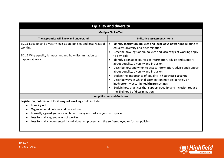| <b>Equality and diversity</b>                                                                                                                                                                                                                                                                                                                             |                                                                                                                                                                                                                                                                                                                                                                                                                                                                                                                                                                                                                                                                                                                                                                                              |
|-----------------------------------------------------------------------------------------------------------------------------------------------------------------------------------------------------------------------------------------------------------------------------------------------------------------------------------------------------------|----------------------------------------------------------------------------------------------------------------------------------------------------------------------------------------------------------------------------------------------------------------------------------------------------------------------------------------------------------------------------------------------------------------------------------------------------------------------------------------------------------------------------------------------------------------------------------------------------------------------------------------------------------------------------------------------------------------------------------------------------------------------------------------------|
| <b>Multiple Choice Test</b>                                                                                                                                                                                                                                                                                                                               |                                                                                                                                                                                                                                                                                                                                                                                                                                                                                                                                                                                                                                                                                                                                                                                              |
| The apprentice will know and understand                                                                                                                                                                                                                                                                                                                   | Indicative assessment criteria                                                                                                                                                                                                                                                                                                                                                                                                                                                                                                                                                                                                                                                                                                                                                               |
| ED1.1 Equality and diversity legislation, policies and local ways of<br>working<br>ED1.2 Why equality is important and how discrimination can<br>happen at work                                                                                                                                                                                           | Identify legislation, policies and local ways of working relating to<br>$\bullet$<br>equality, diversity and discrimination<br>Describe how legislation, policies and local ways of working apply<br>$\bullet$<br>to own role<br>Identify a range of sources of information, advice and support<br>$\bullet$<br>about equality, diversity and inclusion<br>Describe how and when to access information, advice and support<br>$\bullet$<br>about equality, diversity and inclusion<br>Explain the importance of equality in healthcare settings<br>$\bullet$<br>Describe ways in which discrimination may deliberately or<br>inadvertently occur in healthcare settings<br>Explain how practices that support equality and inclusion reduce<br>$\bullet$<br>the likelihood of discrimination |
|                                                                                                                                                                                                                                                                                                                                                           | <b>Amplification and Guidance</b>                                                                                                                                                                                                                                                                                                                                                                                                                                                                                                                                                                                                                                                                                                                                                            |
| Legislation, policies and local ways of working could include:<br><b>Equality Act</b><br>$\bullet$<br>Organisational policies and procedures<br>Formally agreed guidance on how to carry out tasks in your workplace<br>Less formally agreed ways of working<br>Less formally documented by individual employers and the self-employed or formal policies |                                                                                                                                                                                                                                                                                                                                                                                                                                                                                                                                                                                                                                                                                                                                                                                              |



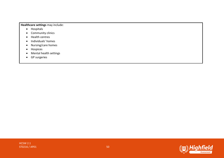#### **Healthcare settings** may include:

- Hospitals
- Community clinics
- Health centres
- Individuals' homes
- Nursing/care homes
- Hospices
- Mental health settings
- GP surgeries

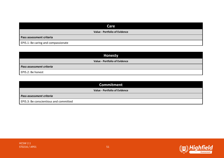| Care                                 |
|--------------------------------------|
| <b>Value - Portfolio of Evidence</b> |
| Pass assessment criteria             |
| EPI5.1: Be caring and compassionate  |

| <b>Honesty</b>                       |
|--------------------------------------|
| <b>Value - Portfolio of Evidence</b> |
| Pass assessment criteria             |
| EPI5.2: Be honest                    |

| <b>Commitment</b>                      |
|----------------------------------------|
| <b>Value - Portfolio of Evidence</b>   |
| Pass assessment criteria               |
| EPI5.3: Be conscientious and committed |

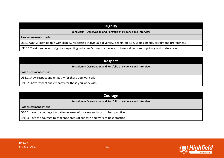### **Dignity**

#### **Behaviour – Observation and Portfolio of evidence and interview**

**Pass assessment criteria**

OB4.1/OB4.2 Treat people with dignity, respecting individual's diversity, beliefs, culture, values, needs, privacy and preferences

EPI6.1 Treat people with dignity, respecting individual's diversity, beliefs, culture, values, needs, privacy and preferences

| <b>Respect</b>                                                  |  |  |
|-----------------------------------------------------------------|--|--|
| Behaviour – Observation and Portfolio of evidence and interview |  |  |
| Pass assessment criteria                                        |  |  |
| OB5.1 Show respect and empathy for those you work with          |  |  |
| EPI6.2 Show respect and empathy for those you work with         |  |  |

| Courage                                                                         |  |
|---------------------------------------------------------------------------------|--|
| Behaviour – Observation and Portfolio of evidence and interview                 |  |
| Pass assessment criteria                                                        |  |
| OB5.2 Have the courage to challenge areas of concern and work to best practice  |  |
| EPI6.3 Have the courage to challenge areas of concern and work to best practice |  |

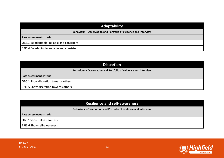## **Adaptability**

**Behaviour – Observation and Portfolio of evidence and interview**

**Pass assessment criteria**

OB5.3 Be adaptable, reliable and consistent

EPI6.4 Be adaptable, reliable and consistent

| <b>Discretion</b>                                               |  |  |
|-----------------------------------------------------------------|--|--|
| Behaviour - Observation and Portfolio of evidence and interview |  |  |
| Pass assessment criteria                                        |  |  |
| <b>OB6.1 Show discretion towards others</b>                     |  |  |
| <b>EPI6.5 Show discretion towards others</b>                    |  |  |

| <b>Resilience and self-awareness</b>                            |  |
|-----------------------------------------------------------------|--|
| Behaviour - Observation and Portfolio of evidence and interview |  |
| Pass assessment criteria                                        |  |
| OB6.1 Show self-awareness                                       |  |
| <b>EPI6.6 Show self-awareness</b>                               |  |

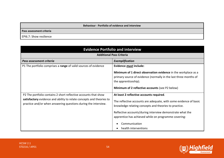**Behaviour - Portfolio of evidence and interview**

**Pass assessment criteria**

EPI6.7: Show resilience

| <b>Evidence Portfolio and interview</b>                                                                                                                                                                   |                                                                                                                                                                                                                                                                                                                                      |  |
|-----------------------------------------------------------------------------------------------------------------------------------------------------------------------------------------------------------|--------------------------------------------------------------------------------------------------------------------------------------------------------------------------------------------------------------------------------------------------------------------------------------------------------------------------------------|--|
| <b>Additional Pass Criteria</b>                                                                                                                                                                           |                                                                                                                                                                                                                                                                                                                                      |  |
| Pass assessment criteria                                                                                                                                                                                  | Exemplification                                                                                                                                                                                                                                                                                                                      |  |
| P1 The portfolio comprises a range of valid sources of evidence                                                                                                                                           | Evidence must include:<br>Minimum of 1 direct observation evidence in the workplace as a<br>primary source of evidence (normally in the last three months of<br>the apprenticeship).<br>Minimum of 2 reflective accounts (see P2 below)                                                                                              |  |
| P2 The portfolio contains 2 short reflective accounts that show<br>satisfactory evidence and ability to relate concepts and theories to<br>practice and/or when answering questions during the interview. | At least 2 reflective accounts required.<br>The reflective accounts are adequate, with some evidence of basic<br>knowledge relating concepts and theories to practice.<br>Reflective accounts/during interview demonstrate what the<br>apprentice has achieved while on programme covering:<br>Communication<br>health interventions |  |

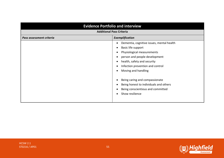| <b>Evidence Portfolio and interview</b>     |                                                                                                                                             |
|---------------------------------------------|---------------------------------------------------------------------------------------------------------------------------------------------|
| <b>Additional Pass Criteria</b>             |                                                                                                                                             |
| Exemplification<br>Pass assessment criteria |                                                                                                                                             |
|                                             | Dementia, cognitive issues, mental health<br>Basic life support<br>$\bullet$<br>Physiological measurements<br>person and people development |
|                                             | health, safety and security<br>$\bullet$<br>Infection prevention and control<br>٠<br>Moving and handling                                    |
|                                             | Being caring and compassionate<br>Being honest to individuals and others<br>Being conscientious and committed<br>Show resilience            |



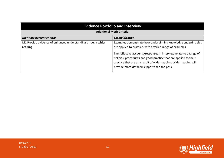| <b>Evidence Portfolio and interview</b>                                |                                                                                                                                                                                                                                                                                                                                                                                              |  |
|------------------------------------------------------------------------|----------------------------------------------------------------------------------------------------------------------------------------------------------------------------------------------------------------------------------------------------------------------------------------------------------------------------------------------------------------------------------------------|--|
| <b>Additional Merit Criteria</b>                                       |                                                                                                                                                                                                                                                                                                                                                                                              |  |
| Merit assessment criteria<br>Exemplification                           |                                                                                                                                                                                                                                                                                                                                                                                              |  |
| M1 Provide evidence of enhanced understanding through wider<br>reading | Examples demonstrate how underpinning knowledge and principles<br>are applied to practice, with a varied range of examples.<br>The reflective accounts/responses in interview relate to a range of<br>policies, procedures and good practice that are applied to their<br>practice that are as a result of wider reading. Wider reading will<br>provide more detailed support than the pass. |  |



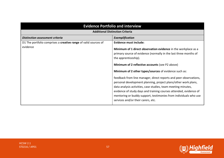| <b>Evidence Portfolio and interview</b>                                     |                                                                                                                                                                                                                                                                                                                                                                                                                                                                                                                                                                                                                                                                                                |  |
|-----------------------------------------------------------------------------|------------------------------------------------------------------------------------------------------------------------------------------------------------------------------------------------------------------------------------------------------------------------------------------------------------------------------------------------------------------------------------------------------------------------------------------------------------------------------------------------------------------------------------------------------------------------------------------------------------------------------------------------------------------------------------------------|--|
| <b>Additional Distinction Criteria</b>                                      |                                                                                                                                                                                                                                                                                                                                                                                                                                                                                                                                                                                                                                                                                                |  |
| Distinction assessment criteria                                             | Exemplification                                                                                                                                                                                                                                                                                                                                                                                                                                                                                                                                                                                                                                                                                |  |
| D1 The portfolio comprises a creative range of valid sources of<br>evidence | <b>Evidence must include:</b><br>Minimum of 1 direct observation evidence in the workplace as a<br>primary source of evidence (normally in the last three months of<br>the apprenticeship).<br>Minimum of 2 reflective accounts (see P2 above)<br>Minimum of 2 other types/sources of evidence such as:<br>feedback from line manager, direct reports and peer observations,<br>personal development planning, project plans/other work plans,<br>data analysis activities, case studies, team meeting minutes,<br>evidence of study days and training courses attended, evidence of<br>mentoring or buddy support, testimonies from individuals who use<br>services and/or their carers, etc. |  |

HCSW 2.1

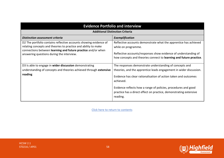| <b>Evidence Portfolio and interview</b>                                                                                                                                                                                                          |                                                                                                                                                                                                                                                                                                                                                                  |  |
|--------------------------------------------------------------------------------------------------------------------------------------------------------------------------------------------------------------------------------------------------|------------------------------------------------------------------------------------------------------------------------------------------------------------------------------------------------------------------------------------------------------------------------------------------------------------------------------------------------------------------|--|
| <b>Additional Distinction Criteria</b>                                                                                                                                                                                                           |                                                                                                                                                                                                                                                                                                                                                                  |  |
| <b>Distinction assessment criteria</b>                                                                                                                                                                                                           | Exemplification                                                                                                                                                                                                                                                                                                                                                  |  |
| D2 The portfolio contains reflective accounts showing evidence of<br>relating concepts and theories to practice and ability to make<br>connections between learning and future practice and/or when<br>answering questions during the interview. | Reflective accounts demonstrate what the apprentice has achieved<br>while on programme.<br>Reflective accounts/responses show evidence of understanding of<br>how concepts and theories connect to learning and future practice.                                                                                                                                 |  |
| D3 Is able to engage in wider discussion demonstrating<br>understanding of concepts and theories achieved through extensive<br>reading                                                                                                           | The responses demonstrate understanding of concepts and<br>theories, and the apprentice leads engagement in wider discussion.<br>Evidence has clear rationalisation of action taken and outcomes<br>achieved.<br>Evidence reflects how a range of policies, procedures and good<br>practice has a direct effect on practice, demonstrating extensive<br>reading. |  |

Click here to return to contents

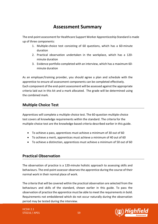# **Assessment Summary**

The end-point assessment for Healthcare Support Worker Apprenticeship Standard is made up of three components:

- 1. Multiple-choice test consisting of 60 questions, which has a 60-minute duration
- 2. Practical observation undertaken in the workplace, which has a 120 minute duration
- 3. Evidence portfolio completed with an interview, which has a maximum 60 minute duration

As an employer/training provider, you should agree a plan and schedule with the apprentice to ensure all assessment components can be completed effectively. Each component of the end-point assessment will be assessed against the appropriate criteria laid out in this kit and a mark allocated. The grade will be determined using the combined mark.

### **Multiple Choice Test**

Apprentices will complete a multiple-choice test. The 60-question multiple-choice test covers all knowledge requirements within the standard. The criteria for the multiple-choice test are the knowledge-based criteria described earlier in this guide.

- To achieve a pass, apprentices must achieve a minimum of 30 out of 60
- To achieve a merit, apprentices must achieve a minimum of 40 out of 60
- To achieve a distinction, apprentices must achieve a minimum of 50 out of 60

### **Practical Observation**

The observation of practice is a 120-minute holistic approach to assessing skills and behaviours. The end-point assessor observes the apprentice during the course of their normal work in their normal place of work.

The criteria that will be covered within the practical observation are selected from the behaviours and skills of the standard, shown earlier in this guide. To pass the observation of practice the apprentice must be able to meet the requirements in bold. Requirements not emboldened which do not occur naturally during the observation period may be tested during the interview.

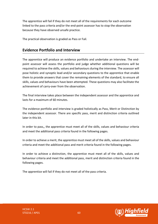The apprentice will fail if they do not meet all of the requirements for each outcome linked to the pass criteria and/or the end-point assessor has to stop the observation because they have observed unsafe practice.

The practical observation is graded as Pass or Fail.

#### **Evidence Portfolio and Interview**

The apprentice will produce an evidence portfolio and undertake an interview. The endpoint assessor will assess the portfolio and judge whether additional questions will be required to achieve the skills, values and behaviours during the interview. The assessor will pose holistic and synoptic lead and/or secondary questions to the apprentice that enable them to provide answers that cover the remaining elements of the standard, to ensure all skills, values and behaviours have been attempted. These questions may also facilitate the achievement of carry-over from the observation.

The final interview takes place between the independent assessor and the apprentice and lasts for a maximum of 60 minutes.

The evidence portfolio and interview is graded holistically as Pass, Merit or Distinction by the independent assessor. There are specific pass, merit and distinction criteria outlined later in this kit.

In order to pass,, the apprentice must meet all of the skills, values and behaviour criteria and meet the additional pass criteria found in the following pages.

In order to achieve a merit, the apprentice must meet all of the skills, values and behaviour criteria and meet the additional pass and merit criteria found in the following pages.

In order to achieve a distinction, the apprentice must meet all of the skills, values and behaviour criteria and meet the additional pass, merit and distinction criteria found in the following pages.

The apprentice will fail if they do not meet all of the pass criteria.

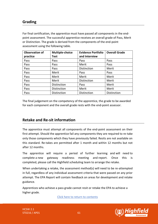#### **Grading**

For final certification, the apprentice must have passed all components in the endpoint assessment. The successful apprentice receives an overall grade of Pass, Merit or Distinction. The grade is derived from the components of the end-point assessment using the following table.

| <b>Observation of</b> | Multiple-choice | <b>Evidence Portfolio</b> | <b>Overall Grade</b> |
|-----------------------|-----------------|---------------------------|----------------------|
| practice              | <b>Test</b>     | and Interview             |                      |
| Pass                  | Pass            | Pass                      | Pass                 |
| Pass                  | Pass            | Merit                     | Pass                 |
| Pass                  | Pass            | Distinction               | Merit                |
| Pass                  | Merit           | Pass                      | Pass                 |
| Pass                  | Merit           | Merit                     | Merit                |
| Pass                  | Merit           | Distinction               | Merit                |
| Pass                  | Distinction     | Pass                      | Merit                |
| Pass                  | Distinction     | Merit                     | Merit                |
| Pass                  | Distinction     | Distinction               | Distinction          |

The final judgement on the competency of the apprentice, the grade to be awarded for each component and the overall grade rests with the end-point assessor.

### **Retake and Re-sit information**

The apprentice must attempt all components of the end-point assessment on their first attempt. Should the apprentice fail any components they are required to re-take only those components which they have previously failed. Resits are not available on this standard. Re-takes are permitted after 1 month and within 12 months but not after 12 months.

The apprentice will require a period of further learning and will need to complete a new gateway readiness meeting and report. Once this is completed, please call the Highfield scheduling team to arrange the retake.

When undertaking a retake, the assessment method(s) will need to be re-attempted in full, regardless of any individual assessment criteria that were passed on any prior attempt. The EPA Report will contain feedback on areas for development and retake guidance.

Apprentices who achieve a pass grade cannot resit or retake the EPA to achieve a higher grade.

Click here to return to contents

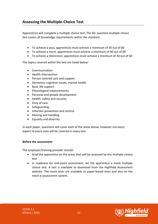Apprentices will complete a multiple-choice test. The 60- question multiple-choice test covers all knowledge requirements within the standard.

- To achieve a pass, apprentices must achieve a minimum of 30 out of 60
- To achieve a merit, apprentices must achieve a minimum of 40 out of 60
- To achieve a distinction, apprentices must achieve a minimum of 50 out of 60

The topics covered within the test are listed below:

- Communication
- Health Intervention
- Person-centred care and support
- Dementia, cognitive issues, mental health
- Basic life support
- Physiological measurements
- Personal and people development
- Health, safety and security
- Duty of care
- Safeguarding
- Infection prevention and control
- Moving and handling
- Equality and diversity

In each paper, questions will cover each of the areas above, however not every aspect of every area will be covered in every test.

#### **Before the assessment**

The employer/training provider should:

- brief the apprentice on the areas that will be assessed by the multiple-choice test
- in readiness for end-point assessment, set the apprentice a mock multiple choice test. A test is available to download from the Highfield Assessment website. The mock tests are available as paper-based tests and also on the mock e-assessment system.



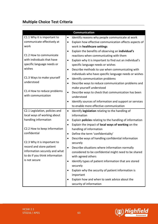# **Multiple Choice Test Criteria**

|                                | <b>Communication</b>                                                 |
|--------------------------------|----------------------------------------------------------------------|
| C1.1 Why it is important to    | Identify reasons why people communicate at work<br>$\bullet$         |
| communicate effectively at     | Explain how effective communication affects aspects of<br>$\bullet$  |
| work                           | work in healthcare settings                                          |
|                                | Explain the benefits of observing an individual's                    |
| C1.2 How to communicate        | reactions when communicating with them                               |
| with individuals that have     | Explain why it is important to find out an individual's<br>$\bullet$ |
| specific language needs or     | specific language needs or wishes                                    |
| wishes                         | Describe methods to use when communicating with<br>٠                 |
|                                | individuals who have specific language needs or wishes               |
| C1.3 Ways to make yourself     | Identify communication problems<br>$\bullet$                         |
| understood                     | Describe ways to reduce communication problems and<br>$\bullet$      |
|                                | make yourself understood                                             |
| C1.4 How to reduce problems    | Describe ways to check that communication has been<br>$\bullet$      |
| with communication             | understood                                                           |
|                                | Identify sources of information and support or services<br>٠         |
|                                | to enable more effective communication                               |
| C2.1 Legislation, policies and | Identify legislation relating to the handling of<br>$\bullet$        |
| local ways of working about    | information                                                          |
| handling information           | Explain policies relating to the handling of information<br>٠        |
|                                | Explain the impact of local ways of working on the<br>$\bullet$      |
| C2.2 How to keep information   | handling of information                                              |
| confidential                   | Define the term 'confidentiality'<br>٠                               |
|                                | Describe ways of handling confidential information                   |
| C2.3 Why it is important to    | securely                                                             |
| record and store patient       | Describe situations where information normally                       |
| information securely and what  | considered to be confidential might need to be shared                |
| to do if you think information | with agreed others                                                   |
| is not secure                  | Identify types of patient information that are stored<br>$\bullet$   |
|                                | securely                                                             |
|                                | Explain why the security of patient information is                   |
|                                | important                                                            |
|                                | Explain how and when to seek advice about the                        |
|                                | security of information                                              |

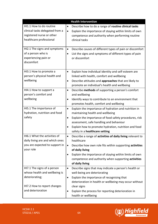| <b>Health Intervention</b>                                                                                                         |                                                                                                                                                                                                                                                                                                                                  |  |
|------------------------------------------------------------------------------------------------------------------------------------|----------------------------------------------------------------------------------------------------------------------------------------------------------------------------------------------------------------------------------------------------------------------------------------------------------------------------------|--|
| HI1.1 How to do routine<br>clinical tasks delegated from a<br>registered nurse or other<br>healthcare professional                 | Describe how to do a range of routine clinical tasks<br>$\bullet$<br>Explain the importance of staying within limits of own<br>$\bullet$<br>competence and authority when performing routine<br>clinical tasks                                                                                                                   |  |
| HI2.1 The signs and symptoms<br>of a person who is<br>experiencing pain or<br>discomfort                                           | Describe causes of different types of pain or discomfort<br>$\bullet$<br>List the signs and symptoms of different types of pain<br>٠<br>or discomfort                                                                                                                                                                            |  |
| HI3.1 How to promote a<br>person's physical health and<br>wellbeing                                                                | Explain how individual identity and self-esteem are<br>$\bullet$<br>linked with health, comfort and wellbeing<br>Describe attitudes and approaches that are likely to<br>$\bullet$<br>promote an individual's health and wellbeing                                                                                               |  |
| HI4.1 How to support a<br>person's comfort and<br>wellbeing                                                                        | Describe methods of supporting a person's comfort<br>$\bullet$<br>and wellbeing<br>Identify ways to contribute to an environment that<br>$\bullet$<br>promotes health, comfort and wellbeing                                                                                                                                     |  |
| HI5.1 The importance of<br>hydration, nutrition and food<br>safety                                                                 | Explain the importance of hydration and nutrition in<br>$\bullet$<br>maintaining health and wellbeing<br>Explain the importance of food safety procedures, risk<br>$\bullet$<br>assessment, safe handling and behaviour<br>Explain how to promote hydration, nutrition and food<br>$\bullet$<br>safety in a healthcare setting   |  |
| HI6.1 What the activities of<br>daily living are and which ones<br>you are expected to support in<br>your role                     | Describe a range of activities of daily living relevant to<br>$\bullet$<br>healthcare<br>Describe how own role fits within supporting activities<br>$\bullet$<br>of daily living<br>Explain the importance of staying within limits of own<br>competence and authority when supporting activities<br>of daily living             |  |
| HI7.1 The signs of a person<br>whose health and wellbeing is<br>deteriorating;<br>HI7.2 How to report changes<br>and deterioration | Describe signs that may indicate a person's health or<br>$\bullet$<br>well-being are deteriorating<br>Explain the importance of recognising that<br>$\bullet$<br>deterioration in health or wellbeing may occur without<br>clear signs<br>Explain the process for reporting deterioration in<br>$\bullet$<br>health or wellbeing |  |

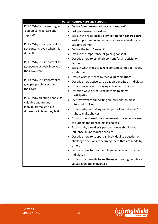| Person-centred care and support         |                                                                      |  |
|-----------------------------------------|----------------------------------------------------------------------|--|
| PC1.1 What it means to give             | Define 'person-centred care and support'<br>$\bullet$                |  |
| 'person centred care and                | List person-centred values<br>٠                                      |  |
| support'                                | Explain the relationship between person centred care<br>$\bullet$    |  |
|                                         | and support and own responsibilities as a healthcare                 |  |
| PC1.2 Why it is important to            | support worker                                                       |  |
| get consent, even when it is            | Define the term 'consent'                                            |  |
| difficult                               | Explain the importance of gaining consent                            |  |
|                                         | Describe how to establish consent for an activity or                 |  |
| PC1.3 Why it is important to            | action                                                               |  |
| get people actively involved in         | Explain what steps to take if consent cannot be readily<br>$\bullet$ |  |
| their own care                          | established                                                          |  |
|                                         | Define what is meant by 'active participation'                       |  |
| PC1.4 Why it is important to            | Describe how active participation benefits an individual             |  |
| give people choices about<br>their care | Explain ways of encouraging active participation                     |  |
|                                         | Describe ways of reducing barriers to active                         |  |
| PC1.5 Why treating people as            | participation                                                        |  |
| valuable and unique                     | Identify ways of supporting an individual to make                    |  |
| individuals makes a big                 | informed choices                                                     |  |
| difference in how they feel             | Explain why risk-taking can be part of an individual's               |  |
|                                         | right to make choices                                                |  |
|                                         | Explain how agreed risk assessment processes are used                |  |
|                                         | to support the right to make choices                                 |  |
|                                         | Explain why a worker's personal views should not                     |  |
|                                         | influence an individual's choices                                    |  |
|                                         | Describe how to support an individual to question or                 |  |
|                                         | challenge decisions concerning them that are made by                 |  |
|                                         | others                                                               |  |
|                                         | Describe how to treat people as valuable and unique                  |  |
|                                         | individuals                                                          |  |
|                                         | Explain the benefits to wellbeing of treating people as              |  |
|                                         | valuable unique individuals                                          |  |



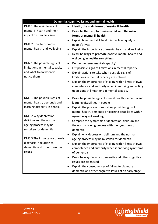| Dementia, cognitive issues and mental health |                                                                     |  |
|----------------------------------------------|---------------------------------------------------------------------|--|
| DM1.1 The main forms of                      | Identify the main forms of mental ill health<br>$\bullet$           |  |
| mental ill health and their                  | Describe the symptoms associated with the main<br>$\bullet$         |  |
| impact on people's lives                     | forms of mental ill health                                          |  |
|                                              | Explain how mental ill health impacts uniquely on<br>$\bullet$      |  |
| DM1.2 How to promote                         | people's lives                                                      |  |
| mental health and wellbeing                  | Explain the importance of mental health and wellbeing<br>٠          |  |
|                                              | Describe ways to promote positive mental health and<br>$\bullet$    |  |
|                                              | wellbeing in healthcare settings                                    |  |
| DM2.1 The possible signs of                  | Define the term 'mental capacity'<br>$\bullet$                      |  |
| limitations in mental capacity               | List possible signs of limitations in mental capacity<br>$\bullet$  |  |
| and what to do when you                      | Explain actions to take when possible signs of<br>$\bullet$         |  |
| notice them                                  | limitations in mental capacity are noticed                          |  |
|                                              | Explain the importance of staying within limits of own<br>$\bullet$ |  |
|                                              | competence and authority when identifying and acting                |  |
|                                              | upon signs of limitations in mental capacity                        |  |
| DM3.1 The possible signs of                  | Describe possible signs of mental health, dementia and<br>$\bullet$ |  |
| mental health, dementia and                  | learning disabilities in people                                     |  |
| learning disability in people                | Explain the process of reporting possible signs of<br>$\bullet$     |  |
|                                              | mental health, dementia or learning disabilities within             |  |
| DM3.2 Why depression,                        | agreed ways of working                                              |  |
| delirium and the normal                      | Compare the symptoms of depression, delirium and<br>$\bullet$       |  |
| ageing process may be                        | the normal ageing process with the symptoms of                      |  |
| mistaken for dementia                        | dementia                                                            |  |
|                                              | Explain why depression, delirium and the normal                     |  |
| DM3.3 The importance of early                | ageing process may be mistaken for dementia                         |  |
| diagnosis in relation to                     | Explain the importance of staying within limits of own              |  |
| dementia and other cognitive                 | competence and authority when identifying symptoms                  |  |
| issues                                       | of dementia                                                         |  |
|                                              | Describe ways in which dementia and other cognitive                 |  |
|                                              | issues are diagnosed                                                |  |
|                                              | Explain the consequences of failing to diagnose                     |  |
|                                              | dementia and other cognitive issues at an early stage               |  |



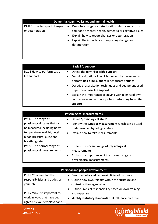| Dementia, cognitive issues and mental health    |                                                                                                                                                                                   |  |
|-------------------------------------------------|-----------------------------------------------------------------------------------------------------------------------------------------------------------------------------------|--|
| DM4.1 How to report changes<br>or deterioration | Describe changes or deterioration which can occur to<br>$\bullet$<br>someone's mental health, dementia or cognitive issues<br>Explain how to report changes or deterioration<br>٠ |  |
|                                                 | Explain the importance of reporting changes or<br>٠<br>deterioration                                                                                                              |  |
|                                                 |                                                                                                                                                                                   |  |

|                            |           | <b>Basic life support</b>                              |
|----------------------------|-----------|--------------------------------------------------------|
| BL1.1 How to perform basic | $\bullet$ | Define the term 'basic life support'                   |
| life support               |           | Describe situations in which it would be necessary to  |
|                            |           | perform basic life support in healthcare settings      |
|                            | ٠         | Describe resuscitation techniques and equipment used   |
|                            |           | to perform basic life support                          |
|                            |           | Explain the importance of staying within limits of own |
|                            |           | competence and authority when performing basic life    |
|                            |           | support                                                |

| <b>Physiological measurements</b>                                                                                                              |                                                                                                                                                                                                    |  |
|------------------------------------------------------------------------------------------------------------------------------------------------|----------------------------------------------------------------------------------------------------------------------------------------------------------------------------------------------------|--|
| PM1.1 The range of<br>physiological states that can<br>be measured including body<br>temperature, weight, height,<br>blood pressure, pulse and | Define 'physiological state'<br>$\bullet$<br>Identify the types of measurement which can be used<br>$\bullet$<br>to determine physiological state<br>Explain how to take measurements<br>$\bullet$ |  |
| breathing rate                                                                                                                                 |                                                                                                                                                                                                    |  |
| PM2.1 The normal range of                                                                                                                      | Explain the normal range of physiological<br>$\bullet$                                                                                                                                             |  |
| physiological measurements                                                                                                                     | measurements                                                                                                                                                                                       |  |
|                                                                                                                                                | Explain the importance of the normal range of<br>٠                                                                                                                                                 |  |
|                                                                                                                                                | physiological measurements                                                                                                                                                                         |  |

| Personal and people development |                                                        |
|---------------------------------|--------------------------------------------------------|
| PP1.1 Your role and the         | Describe tasks and responsibilities of own role        |
| responsibilities and duties of  | Outline how own role fits within the structure and     |
| your job                        | context of the organisation                            |
| PP1.2 Why it is important to    | Outline limits of responsibility based on own training |
| work in ways that have been     | and expertise                                          |
| agreed by your employer and     | Identify statutory standards that influence own role   |

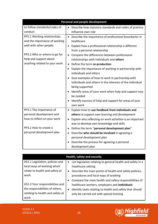| Personal and people development |                                                                    |  |
|---------------------------------|--------------------------------------------------------------------|--|
| to follow standards/codes of    | Describe how statutory standards and codes of practice             |  |
| conduct                         | influence own role                                                 |  |
| PP2.1 Working relationships     | Describe the importance of professional boundaries in              |  |
| and the importance of working   | healthcare                                                         |  |
| well with other people          | Explain how a professional relationship is different<br>$\bullet$  |  |
|                                 | from a personal relationship                                       |  |
| PP2.2 Who or where to go for    | Compare the differences between professional<br>$\bullet$          |  |
| help and support about          | relationships with individuals and others                          |  |
| anything related to your work   | Define the term co-production                                      |  |
|                                 | Explain the importance of working in partnership with<br>$\bullet$ |  |
|                                 | individuals and others                                             |  |
|                                 | • Give examples of how to work in partnership with                 |  |
|                                 | individuals and others in the interests of the individual          |  |
|                                 | being supported                                                    |  |
|                                 | Identify areas of your work when help and support may              |  |
|                                 | be needed                                                          |  |
|                                 | Identify sources of help and support for areas of your             |  |
|                                 | own work                                                           |  |
| PP3.1 The importance of         | Explain how to use feedback from individuals and<br>$\bullet$      |  |
| personal development and        | others to support own learning and development                     |  |
| how to reflect on your work     | Explain why reflecting on work activities is an important          |  |
|                                 | way to develop own knowledge and skills                            |  |
| PP3.2 How to create a           | Define the term "personal development plan"                        |  |
| personal development plan       | Describe who should be involved in agreeing a<br>$\bullet$         |  |
|                                 | personal development plan                                          |  |
|                                 | Describe the process for agreeing a personal                       |  |
|                                 | development plan                                                   |  |

| Health, safety and security                                                                                    |                                                                                                                                                                                                                                            |  |
|----------------------------------------------------------------------------------------------------------------|--------------------------------------------------------------------------------------------------------------------------------------------------------------------------------------------------------------------------------------------|--|
| HS1.1 Legislation, policies and<br>local ways of working which                                                 | List legislation relating to general health and safety in a<br>$\bullet$<br>healthcare setting                                                                                                                                             |  |
| relate to health and safety at<br>work                                                                         | Describe the main points of health and safety policies,<br>$\bullet$<br>procedures and local ways of working                                                                                                                               |  |
| HS1.2 Your responsibilities and<br>the responsibilities of others,<br>relating to health and safety at<br>work | Compare the main health and safety responsibilities of<br>$\bullet$<br>healthcare workers, employers and individuals<br>Identify tasks relating to health and safety that should<br>$\bullet$<br>only be carried out with special training |  |

l,

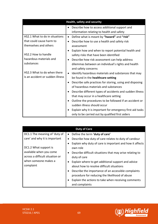| Health, safety and security      |                                                                       |
|----------------------------------|-----------------------------------------------------------------------|
|                                  | Describe how to access additional support and                         |
|                                  | information relating to health and safety                             |
| HS2.1 What to do in situations   | Define what is meant by "hazard" and "risk"<br>$\bullet$              |
| that could cause harm to         | Describe how to use a health and safety risk                          |
| themselves and others            | assessment                                                            |
|                                  | Explain how and when to report potential health and                   |
| HS2.2 How to handle              | safety risks that have been identified                                |
| hazardous materials and          | Describe how risk assessment can help address<br>$\bullet$            |
| substances                       | dilemmas between an individual's rights and health                    |
|                                  | and safety concerns                                                   |
| HS2.3 What to do when there      | Identify hazardous materials and substances that may                  |
| is an accident or sudden illness | be found in the healthcare setting                                    |
|                                  | Describe safe practices for storing, using and disposing<br>$\bullet$ |
|                                  | of hazardous materials and substances                                 |
|                                  | Describe different types of accidents and sudden illness              |
|                                  | that may occur in a healthcare setting                                |
|                                  | Outline the procedures to be followed if an accident or               |
|                                  | sudden illness should occur                                           |
|                                  | Explain why it is important for emergency first aid tasks             |
|                                  | only to be carried out by qualified first aiders                      |

|                                 | <b>Duty of Care</b>                                                   |
|---------------------------------|-----------------------------------------------------------------------|
| DC1.1 The meaning of 'duty of   | Define the term 'duty of care'<br>$\bullet$                           |
| care' and why it is important   | Describe how duty of care relates to duty of candour<br>$\bullet$     |
|                                 | Explain why duty of care is important and how it affects              |
| DC1.2 What support is           | own role                                                              |
| available when you come         | Describe difficult situations that may arise relating to<br>$\bullet$ |
| across a difficult situation or | duty of care                                                          |
| when someone makes a            | Explain where to get additional support and advice                    |
| complaint                       | about how to resolve difficult situations                             |
|                                 | Describe the importance of an accessible complaints<br>$\bullet$      |
|                                 | procedure for reducing the likelihood of abuse                        |
|                                 | Explain the actions to take when receiving comments                   |
|                                 | and complaints                                                        |

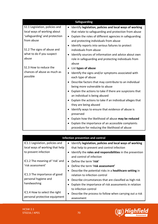|                                | <b>Safeguarding</b>                                                   |
|--------------------------------|-----------------------------------------------------------------------|
| S1.1 Legislation, policies and | Identify legislation, policies and local ways of working<br>$\bullet$ |
| local ways of working about    | that relate to safeguarding and protection from abuse                 |
| 'safeguarding' and protection  | Explain the roles of different agencies in safeguarding<br>$\bullet$  |
| from abuse                     | and protecting individuals from abuse                                 |
|                                | Identify reports into serious failures to protect<br>$\bullet$        |
| S1.2 The signs of abuse and    | individuals from abuse                                                |
| what to do if you suspect      | Identify sources of information and advice about own                  |
| abuse                          | role in safeguarding and protecting individuals from                  |
|                                | abuse                                                                 |
| S1.3 How to reduce the         | List types of abuse                                                   |
| chances of abuse as much as    | Identify the signs and/or symptoms associated with<br>$\bullet$       |
| possible                       | each type of abuse                                                    |
|                                | Describe factors that may contribute to an individual                 |
|                                | being more vulnerable to abuse                                        |
|                                | Explain the actions to take if there are suspicions that              |
|                                | an individual is being abused                                         |
|                                | Explain the actions to take if an individual alleges that             |
|                                | they are being abused                                                 |
|                                | Identify ways to ensure that evidence of abuse is                     |
|                                | preserved                                                             |
|                                | Explain how the likelihood of abuse may be reduced                    |
|                                | Explain the importance of an accessible complaints                    |
|                                | procedure for reducing the likelihood of abuse                        |

| Infection prevention and control                               |                                                                       |  |
|----------------------------------------------------------------|-----------------------------------------------------------------------|--|
| IC1.1 Legislation, policies and                                | Identify legislation, policies and local ways of working<br>$\bullet$ |  |
| local ways of working that help                                | that help to prevent and control infection                            |  |
| to prevent infection                                           | Identify the roles and responsibilities in the prevention             |  |
|                                                                | and control of infection                                              |  |
| IC1.2 The meaning of 'risk' and                                | Define the term 'risk'<br>$\bullet$                                   |  |
| 'risk assessment'                                              | Define the term 'risk assessment'                                     |  |
|                                                                | Describe the potential risks in a healthcare setting in               |  |
| IC1.3 The importance of good                                   | relation to infection control                                         |  |
| personal hygiene and                                           | Describe circumstances that are classified as high risk               |  |
| handwashing                                                    | Explain the importance of risk assessments in relation                |  |
|                                                                | to infection control                                                  |  |
| IC1.4 How to select the right<br>personal protective equipment | Describe the process to follow when carrying out a risk               |  |
|                                                                | assessment                                                            |  |

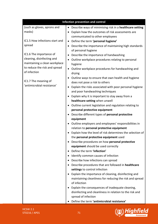| <b>Infection prevention and control</b>                                                                                                                                                       |                                                                                                                                                                                                                                                                                                                                                                                                                                                                                                                                                                                                                                                                                                                                                                                                                                                                                                                                                                                                                                                                                                                                                                                                                                                                                                           |
|-----------------------------------------------------------------------------------------------------------------------------------------------------------------------------------------------|-----------------------------------------------------------------------------------------------------------------------------------------------------------------------------------------------------------------------------------------------------------------------------------------------------------------------------------------------------------------------------------------------------------------------------------------------------------------------------------------------------------------------------------------------------------------------------------------------------------------------------------------------------------------------------------------------------------------------------------------------------------------------------------------------------------------------------------------------------------------------------------------------------------------------------------------------------------------------------------------------------------------------------------------------------------------------------------------------------------------------------------------------------------------------------------------------------------------------------------------------------------------------------------------------------------|
| (such as gloves, aprons and<br>masks)                                                                                                                                                         | Describe ways of minimising risk in a healthcare setting<br>Explain how the outcomes of risk assessments are<br>communicated to other employees                                                                                                                                                                                                                                                                                                                                                                                                                                                                                                                                                                                                                                                                                                                                                                                                                                                                                                                                                                                                                                                                                                                                                           |
| IC1.5 How infections start and<br>spread                                                                                                                                                      | Define the term 'personal hygiene'<br>$\bullet$<br>Describe the importance of maintaining high standards<br>$\bullet$                                                                                                                                                                                                                                                                                                                                                                                                                                                                                                                                                                                                                                                                                                                                                                                                                                                                                                                                                                                                                                                                                                                                                                                     |
| IC1.6 The importance of<br>cleaning, disinfecting and<br>maintaining a clean workplace<br>to reduce the risk and spread<br>of infection<br>IC1.7 The meaning of<br>'antimicrobial resistance' | of personal hygiene<br>Describe the importance of handwashing<br>$\bullet$<br>Outline workplace procedures relating to personal<br>hygiene<br>Outline workplace procedures for handwashing and<br>drying<br>Outline ways to ensure that own health and hygiene<br>does not pose a risk to others<br>Explain the risks associated with poor personal hygiene<br>and poor handwashing techniques<br>Explain why it is important to stay away from a<br>healthcare setting when unwell<br>Outline current legislation and regulation relating to<br>personal protective equipment<br>• Describe different types of personal protective<br>equipment<br>Outline employers and employees' responsibilities in<br>$\bullet$<br>relation to personal protective equipment<br>Explain how the level of risk determines the selection of<br>the personal protective equipment used<br>Describe procedures on how personal protective<br>equipment should be used correctly<br>Define the term 'infection'<br>Identify common causes of infection<br>Describe how infections can spread<br>Describe procedures that are followed in healthcare<br>settings to control infection<br>Explain the importance of cleaning, disinfecting and<br>maintaining cleanliness for reducing the risk and spread<br>of infection |
|                                                                                                                                                                                               | Explain the consequences of inadequate cleaning,<br>disinfecting and cleanliness in relation to the risk and<br>spread of infection<br>Define the term 'antimicrobial resistance'                                                                                                                                                                                                                                                                                                                                                                                                                                                                                                                                                                                                                                                                                                                                                                                                                                                                                                                                                                                                                                                                                                                         |

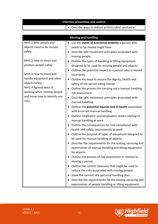| <b>Infection prevention and control</b>                                                                                                                              |                                                                                                                                                                                                                                                                                                                                                                                                                                                                                                                                   |  |
|----------------------------------------------------------------------------------------------------------------------------------------------------------------------|-----------------------------------------------------------------------------------------------------------------------------------------------------------------------------------------------------------------------------------------------------------------------------------------------------------------------------------------------------------------------------------------------------------------------------------------------------------------------------------------------------------------------------------|--|
|                                                                                                                                                                      | Describe ways to reduce antimicrobial resistance                                                                                                                                                                                                                                                                                                                                                                                                                                                                                  |  |
|                                                                                                                                                                      |                                                                                                                                                                                                                                                                                                                                                                                                                                                                                                                                   |  |
|                                                                                                                                                                      | <b>Moving and handling</b>                                                                                                                                                                                                                                                                                                                                                                                                                                                                                                        |  |
| MH1.1 Why people and<br>objects need to be moved<br>safely                                                                                                           | List the states of functional mobility a person who<br>needs to be moved might have<br>Describe safe movement principles associated with<br>$\bullet$<br>moving people                                                                                                                                                                                                                                                                                                                                                            |  |
| MH1.2 How to move and<br>position people safely                                                                                                                      | Outline the types of handling or lifting equipment<br>designed to be used for moving people and objects<br>Outline the potential impact to a person who is moved<br>$\bullet$                                                                                                                                                                                                                                                                                                                                                     |  |
| MH1.3 How to move and<br>handle equipment and other<br>objects safely<br>MH1.4 Agreed ways of<br>working when moving people<br>and know how to identify any<br>risks | incorrectly<br>Outline the ways to ensure the dignity, health and<br>safety of the person being moved<br>Outline the process for carrying out a manual handling<br>risk assessment<br>Describe safe movement principles associated with                                                                                                                                                                                                                                                                                           |  |
|                                                                                                                                                                      | manual handling<br>Outline the potential injuries and ill health associated<br>with incorrect manual handling<br>Outline employers' and employees' duties relating to<br>manual handling at work<br>Outline the consequences for non-compliance with<br>health and safety requirements at work<br>Outline the purpose of types of equipment designed to                                                                                                                                                                           |  |
|                                                                                                                                                                      | be used for manual handling of objects<br>Describe the requirements for the testing, servicing and<br>examination of manual handling and lifting equipment<br>for objects<br>Outline the process of risk assessment in relation to<br>moving a person<br>Outline the control measures that might be used to<br>reduce the risks associated with moving people<br>State the content of a personal handling plan<br>Describe the requirements for the testing, servicing and<br>examination of people handling or lifting equipment |  |

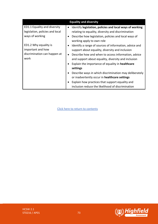| <b>Equality and diversity</b>   |                                                                       |
|---------------------------------|-----------------------------------------------------------------------|
| ED1.1 Equality and diversity    | Identify legislation, policies and local ways of working<br>$\bullet$ |
| legislation, policies and local | relating to equality, diversity and discrimination                    |
| ways of working                 | Describe how legislation, policies and local ways of                  |
|                                 | working apply to own role                                             |
| ED1.2 Why equality is           | Identify a range of sources of information, advice and                |
| important and how               | support about equality, diversity and inclusion                       |
| discrimination can happen at    | Describe how and when to access information, advice<br>$\bullet$      |
| work                            | and support about equality, diversity and inclusion                   |
|                                 | Explain the importance of equality in healthcare                      |
|                                 | settings                                                              |
|                                 | Describe ways in which discrimination may deliberately                |
|                                 | or inadvertently occur in healthcare settings                         |
|                                 | Explain how practices that support equality and                       |
|                                 | inclusion reduce the likelihood of discrimination                     |

Click here to return to contents

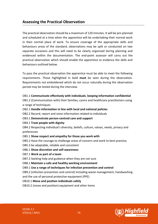# **Assessing the Practical Observation**

The practical observation should be a maximum of 120 minutes. It will be pre-planned and scheduled at a time when the apprentice will be undertaking their normal work in their normal place of work. To ensure coverage of the appropriate skills and behaviours areas of the standard, observations may be split or conducted on two separate occasions and this will need to be clearly organised during planning and evidenced within the documentation. The end-point assessor will carry out the practical observation which should enable the apprentice to evidence the skills and behaviours outlined below.

To pass the practical observation the apprentice must be able to meet the following requirements. Those highlighted in bold **must** be seen during the observation. Requirements not emboldened which do not occur naturally during the observation period may be tested during the interview.

#### OB1.1 **Communicate effectively with individuals**, **keeping information confidential**

OB1.2 (Communication with) their families, carers and healthcare practitioners using a range of techniques

- OB2.1 **Handle information in line with local and national policies**
- OB2.2 Record, report and store information related to individuals
- OB3.1 **Demonstrate person-centred care and support**
- OB4.1 **Treat people with dignity**

OB4.2 Respecting individual's diversity, beliefs, culture, values, needs, privacy and preferences

#### OB5.1 **Show respect and empathy for those you work with**

OB5.2 Have the courage to challenge areas of concern and work to best practice;

- OB5.3 be adaptable, reliable and consistent
- OB6.1 **Show discretion and self-awareness**
- OB7.1 **Work as part of a team**

OB7.2 Seeking help and guidance when they are not sure

OB8.1 **Maintain a safe and healthy working environment**

## OB9.1 **Use a range of techniques for infection prevention and control**

OB9.2 (infection prevention and control) Including waste management, handwashing and the use of personal protective equipment (PPE)

# OB10.1 **Move and position individuals safely**

OB10.2 (move and position) equipment and other items

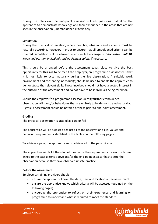During the interview, the end-point assessor will ask questions that allow the apprentice to demonstrate knowledge and their experience in the areas that are not seen in the observation (unemboldened criteria only).

#### **Simulation**

During the practical observation, where possible, situations and evidence must be naturally occurring, however, in order to ensure that all emboldened criteria can be covered, simulation will be allowed to ensure full coverage of *observation skill 10: Move and position individuals and equipment safely,* if necessary.

This should be arranged before the assessment takes place to give the best opportunity for this skill to be met if the employer/on-programme assessor feels that it is not likely to occur naturally during the live observation. A suitable work environment and consenting individual(s) should be used to enable the apprentice to demonstrate the relevant skills. Those involved should not have a vested interest in the outcome of the assessment and do not have to be individuals being cared for.

Should the employer/on-programme assessor identify further emboldened observation skills and/or behaviours that are unlikely to be demonstrated naturally, Highfield Assessment should be notified of these prior to end-point assessment.

#### **Grading**

The practical observation is graded as pass or fail.

The apprentice will be assessed against all of the observation skills, values and behaviour requirements identified in the tables on the following pages.

To achieve a pass, the apprentice must achieve all of the pass criteria.

The apprentice will fail if they do not meet all of the requirements for each outcome linked to the pass criteria above and/or the end-point assessor has to stop the observation because they have observed unsafe practice.

#### **Before the assessment:**

Employers/training providers should:

- ensure the apprentice knows the date, time and location of the assessment
- ensure the apprentice knows which criteria will be assessed (outlined on the following pages)
- encourage the apprentice to reflect on their experience and learning onprogramme to understand what is required to meet the standard

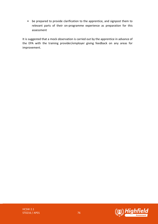• be prepared to provide clarification to the apprentice, and signpost them to relevant parts of their on-programme experience as preparation for this assessment

It is suggested that a mock observation is carried out by the apprentice in advance of the EPA with the training provider/employer giving feedback on any areas for improvement.

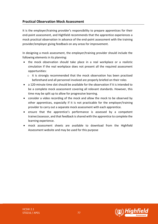# **Practical Observation Mock Assessment**

It is the employer/training provider's responsibility to prepare apprentices for their end-point assessment, and Highfield recommends that the apprentice experiences a mock practical observation in advance of the end-point assessment with the training provider/employer giving feedback on any areas for improvement.

In designing a mock assessment, the employer/training provider should include the following elements in its planning:

- the mock observation should take place in a real workplace or a realistic simulation if the real workplace does not present all the required assessment opportunities:
	- $\circ$  it is strongly recommended that the mock observation has been practised beforehand and all personnel involved are properly briefed on their roles
- a 120-minute time slot should be available for the observation if it is intended to be a complete mock assessment covering all relevant standards. However, this time may be split up to allow for progressive learning.
- consider a video recording of the mock and allow the mock to be observed by other apprentices, especially if it is not practicable for the employer/training provider to carry out a separate mock assessment with each apprentice.
- ensure that the apprentice's performance is assessed by a competent trainer/assessor, and that feedback is shared with the apprentice to complete the learning experience.
- mock assessment sheets are available to download from the Highfield Assessment website and may be used for this purpose

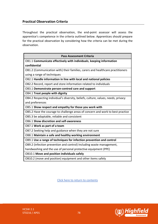# **Practical Observation Criteria**

Throughout the practical observation, the end-point assessor will assess the apprentice's competence in the criteria outlined below. Apprentices should prepare for the practical observation by considering how the criteria can be met during the observation.

| <b>Pass Assessment Criteria</b>                                                   |  |
|-----------------------------------------------------------------------------------|--|
| OB1.1 Communicate effectively with individuals, keeping information               |  |
| confidential                                                                      |  |
| OB1.2 (Communication with) their families, carers and healthcare practitioners    |  |
| using a range of techniques                                                       |  |
| OB2.1 Handle information in line with local and national policies                 |  |
| OB2.2 Record, report and store information related to individuals                 |  |
| OB3.1 Demonstrate person-centred care and support                                 |  |
| OB4.1 Treat people with dignity                                                   |  |
| OB4.2 Respecting individual's diversity, beliefs, culture, values, needs, privacy |  |
| and preferences                                                                   |  |
| OB5.1 Show respect and empathy for those you work with                            |  |
| OB5.2 Have the courage to challenge areas of concern and work to best practice    |  |
| OB5.3 be adaptable, reliable and consistent                                       |  |
| OB6.1 Show discretion and self-awareness                                          |  |
| OB7.1 Work as part of a team                                                      |  |
| OB7.2 Seeking help and guidance when they are not sure                            |  |
| OB8.1 Maintain a safe and healthy working environment                             |  |
| OB9.1 Use a range of techniques for infection prevention and control              |  |
| OB9.2 (infection prevention and control) Including waste management,              |  |
| handwashing and the use of personal protective equipment (PPE)                    |  |
| <b>OB10.1 Move and position individuals safely</b>                                |  |
| OB10.2 (move and position) equipment and other items safely                       |  |

Click here to return to contents



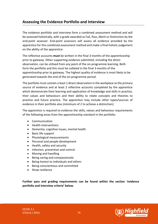# **Assessing the Evidence Portfolio and Interview**

The evidence portfolio and interview form a combined assessment method and will be assessed holistically, with a grade awarded as Fail, Pass, Merit or Distinction by the end-point assessor. End-point assessors will assess all evidence provided by the apprentice for this combined assessment method and make a final holistic judgement on the ability of the apprentice.

The reflective accounts **must** be written in the final 3 months of the apprenticeship prior to gateway. Other supporting evidence submitted, including the direct observation, can be utilised from any point of the on-programme learning. Both form the portfolio and this must be collated in the final 3 months of the apprenticeship prior to gateway. The highest quality of evidence is most likely to be generated towards the end of the on-programme period.

The portfolio must contain a least 1 direct observation in the workplace as the primary source of evidence and at least 2 reflective accounts completed by the apprentice which demonstrate their learning and application of knowledge and skills in practice, their values and behaviours and their ability to relate concepts and theories to practice and future practice. The apprentice may include other types/sources of evidence in their portfolio also (minimum of 2 to achieve a distinction).

The apprentice is required to evidence the skills, values and behaviour requirements of the following areas from the apprenticeship standard in the portfolio:

- Communication
- Health interventions
- Dementia, cognitive issues, mental health
- Basic life support
- Physiological measurements
- Personal and people development
- Health, safety and security
- Infection, prevention and control
- Moving and handling
- Being caring and compassionate
- Being honest to individuals and others
- Being conscientious and committed
- Show resilience

**Further pass and grading requirements can be found within the section 'evidence portfolio and interview criteria' below.**



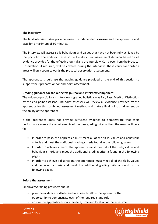#### **The interview**

The final interview takes place between the independent assessor and the apprentice and lasts for a maximum of 60 minutes.

The interview will assess skills behaviours and values that have not been fully achieved by the portfolio. The end-point assessor will make a final assessment decision based on all evidence provided for the reflective journal and the interview. Carry-over from the Practical Observation (if required) will be covered during the interview. These carry over criteria areas will only count towards the practical observation assessment.

The apprentice should use the grading guidance provided at the end of this section to support their preparation for end-point assessment.

## **Grading guidance for the reflective journal and interview component**

The evidence portfolio and interview is graded holistically as Fail, Pass, Merit or Distinction by the end-point assessor. End-point assessors will review all evidence provided by the apprentice for this combined assessment method and make a final holistic judgement on the ability of the apprentice.

If the apprentice does not provide sufficient evidence to demonstrate that their performance meets the requirements of the pass grading criteria, then the result will be a fail.

- In order to pass, the apprentice must meet all of the skills, values and behaviour criteria and meet the additional grading criteria found in the following pages.
- In order to achieve a merit, the apprentice must meet all of the skills, values and behaviour criteria and meet the additional grading criteria found in the following pages.
- In order to achieve a distinction, the apprentice must meet all of the skills, values and behaviour criteria and meet the additional grading criteria found in the following pages.

#### **Before the assessment:**

Employers/training providers should:

- plan the evidence portfolio and interview to allow the apprentice the opportunity to demonstrate each of the required standards
- ensure the apprentice knows the date, time and location of the assessment

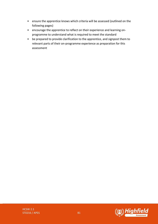- ensure the apprentice knows which criteria will be assessed (outlined on the following pages)
- encourage the apprentice to reflect on their experience and learning onprogramme to understand what is required to meet the standard
- be prepared to provide clarification to the apprentice, and signpost them to relevant parts of their on-programme experience as preparation for this assessment

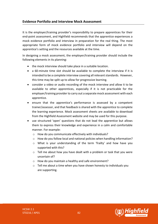## **Evidence Portfolio and Interview Mock Assessment**

It is the employer/training provider's responsibility to prepare apprentices for their end-point assessment, and Highfield recommends that the apprentice experiences a mock evidence portfolio and interview in preparation for the real thing. The most appropriate form of mock evidence portfolio and interview will depend on the apprentice's setting and the resources available at the time.

In designing a mock assessment, the employer/training provider should include the following elements in its planning:

- the mock interview should take place in a suitable location.
- a 60-minute time slot should be available to complete the interview if it is intended to be a complete interview covering all relevant standards. However, this time may be split up to allow for progressive learning.
- consider a video or audio recording of the mock interview and allow it to be available to other apprentices, especially if it is not practicable for the employer/training provider to carry out a separate mock assessment with each apprentice.
- ensure that the apprentice's performance is assessed by a competent trainer/assessor, and that feedback is shared with the apprentice to complete the learning experience. Mock assessment sheets are available to download from the Highfield Assessment website and may be used for this purpose.
- use structured 'open' questions that do not lead the apprentice but allows them to express their knowledge and experience in a calm and comfortable manner. For example:
	- o How do you communicate effectively with individuals?
	- $\circ$  How do you follow local and national policies when handling information?
	- o What is your understanding of the term 'frailty' and how have you supported with this?
	- $\circ$  Tell me about how you have dealt with a problem or task that you were uncertain of?
	- o How do you maintain a healthy and safe environment?
	- $\circ$  Tell me about a time when you have shown honesty to individuals you are supporting.

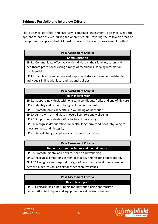The evidence portfolio and interview combined assessment, evidence what the apprentice has achieved during the apprenticeship, covering the following areas of the apprenticeship standard. All must be covered to pass this assessment method:

# **Pass Assessment Criteria**

#### **Communication**

EPI1.1 Communicate effectively with individuals, their families, carers and healthcare practitioners using a range of techniques, keeping information confidential

EPI1.2 Handle information (record, report and store information) related to individuals in line with local and national policies

#### **Pass Assessment Criteria**

#### **Health intervention**

EPI2.1 Support individuals with long term conditions, frailty and end of life care

EPI2.2 Identify and respond to signs of pain or discomfort

EPI2.3 Promote physical health and wellbeing of individuals

EPI2.4 Assist with an individuals' overall comfort and wellbeing

EPI2.5 Support individuals with activities of daily living

EPI2.6 Recognise deteriorations in health, long term conditions, physiological measurements, skin integrity

EPI2.7 Report changes in physical and mental health needs

## **Pass Assessment Criteria**

## **Dementia, cognitive issues and mental health:**

EPI2.8 Promote mental and physical health and wellbeing

EPI2.9 Recognise limitations in mental capacity and respond appropriately

EPI2.10 Recognise and respond to signs of poor mental health for example

dementia, depression, anxiety or other cognitive issues

## **Pass Assessment Criteria**

**Basic life support**

EPI2.11 Perform basic life support for individuals using appropriate

resuscitation techniques and equipment in a simulated situation

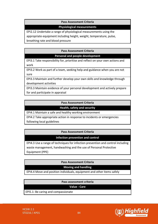#### **Pass Assessment Criteria**

#### **Physiological measurements**

EPI2.12 Undertake a range of physiological measurements using the

appropriate equipment including height, weight, temperature, pulse,

breathing rate and blood pressure

#### **Pass Assessment Criteria**

**Personal and people development**

EPI3.1 Take responsibility for, prioritise and reflect on your own actions and work

EPI3.2 Work as part of a team, seeking help and guidance when you are not sure

EPI3.3 Maintain and further develop your own skills and knowledge through development activities

EPI3.3 Maintain evidence of your personal development and actively prepare for and participate in appraisal

#### **Pass Assessment Criteria**

**Health, safety and security**

EPI4.1 Maintain a safe and healthy working environment

EPI4.2 Take appropriate action in response to incidents or emergencies following local guidelines

## **Pass Assessment Criteria**

## **Infection prevention and control**

EPI4.3 Use a range of techniques for infection prevention and control including waste management, handwashing and the use of Personal Protective Equipment (PPE)

**Pass Assessment Criteria**

## **Moving and handling**

EPI4.4 Move and position individuals, equipment and other items safely

## **Pass assessment criteria**

**Value - Care**

EPI5.1: Be caring and compassionate

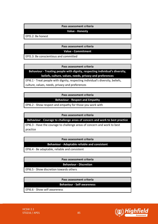#### **Pass assessment criteria**

#### **Value - Honesty**

EPI5.2: Be honest

**Pass assessment criteria**

**Value - Commitment**

EPI5.3: Be conscientious and committed

**Pass assessment criteria**

**Behaviour - Treating people with dignity, respecting individual's diversity, beliefs, culture, values, needs, privacy and preferences**

EPI6.1 - Treat people with dignity, respecting individual's diversity, beliefs, culture, values, needs, privacy and preferences

**Pass assessment criteria**

**Behaviour - Respect and Empathy**

EPI6.2 - Show respect and empathy for those you work with

**Pass assessment criteria**

**Behaviour - Courage to challenge areas of concern and work to best practice**

EPI6.3 - Have the courage to challenge areas of concern and work to best practice

#### **Pass assessment criteria**

#### **Behaviour - Adaptable reliable and consistent**

EPI6.4 - Be adaptable, reliable and consistent

#### **Pass assessment criteria**

#### **Behaviour - Discretion**

EPI6.5 - Show discretion towards others

#### **Pass assessment criteria**

**Behaviour - Self-awareness**

EPI6.6 - Show self-awareness